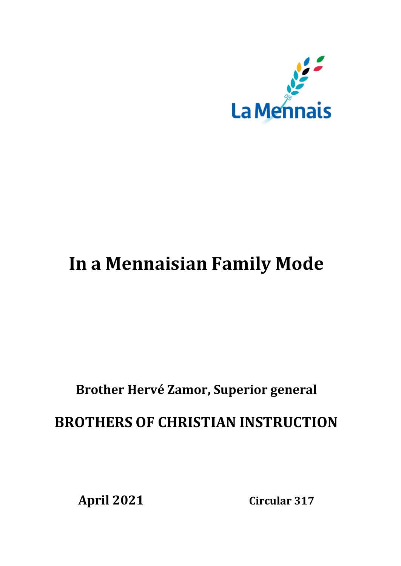

# **In a Mennaisian Family Mode**

# **Brother Hervé Zamor, Superior general BROTHERS OF CHRISTIAN INSTRUCTION**

**April 2021 Circular 317**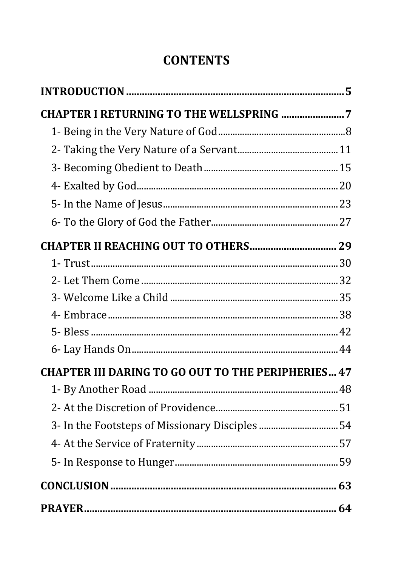# **CONTENTS**

| <b>CHAPTER III DARING TO GO OUT TO THE PERIPHERIES 47</b> |  |
|-----------------------------------------------------------|--|
|                                                           |  |
|                                                           |  |
| 3- In the Footsteps of Missionary Disciples 54            |  |
|                                                           |  |
|                                                           |  |
|                                                           |  |
|                                                           |  |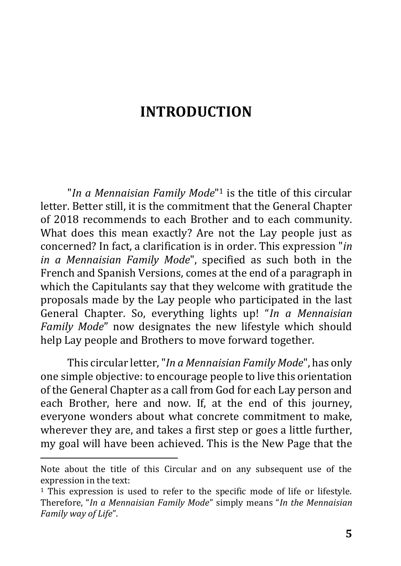## <span id="page-4-0"></span>**INTRODUCTION**

"*In a Mennaisian Family Mode*" <sup>1</sup> is the title of this circular letter. Better still, it is the commitment that the General Chapter of 2018 recommends to each Brother and to each community. What does this mean exactly? Are not the Lay people just as concerned? In fact, a clarification is in order. This expression "*in in a Mennaisian Family Mode*", specified as such both in the French and Spanish Versions, comes at the end of a paragraph in which the Capitulants say that they welcome with gratitude the proposals made by the Lay people who participated in the last General Chapter. So, everything lights up! "*In a Mennaisian Family Mode*" now designates the new lifestyle which should help Lay people and Brothers to move forward together.

This circular letter, "*In a Mennaisian Family Mode*", has only one simple objective: to encourage people to live this orientation of the General Chapter as a call from God for each Lay person and each Brother, here and now. If, at the end of this journey, everyone wonders about what concrete commitment to make, wherever they are, and takes a first step or goes a little further, my goal will have been achieved. This is the New Page that the

Note about the title of this Circular and on any subsequent use of the expression in the text:

<sup>&</sup>lt;sup>1</sup> This expression is used to refer to the specific mode of life or lifestyle. Therefore, "*In a Mennaisian Family Mode*" simply means "*In the Mennaisian Family way of Life*".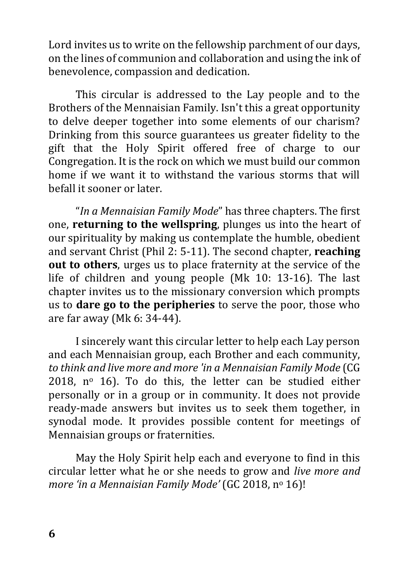Lord invites us to write on the fellowship parchment of our days, on the lines of communion and collaboration and using the ink of benevolence, compassion and dedication.

This circular is addressed to the Lay people and to the Brothers of the Mennaisian Family. Isn't this a great opportunity to delve deeper together into some elements of our charism? Drinking from this source guarantees us greater fidelity to the gift that the Holy Spirit offered free of charge to our Congregation. It is the rock on which we must build our common home if we want it to withstand the various storms that will befall it sooner or later.

"*In a Mennaisian Family Mode*" has three chapters. The first one, **returning to the wellspring**, plunges us into the heart of our spirituality by making us contemplate the humble, obedient and servant Christ (Phil 2: 5-11). The second chapter, **reaching out to others**, urges us to place fraternity at the service of the life of children and young people (Mk 10: 13-16). The last chapter invites us to the missionary conversion which prompts us to **dare go to the peripheries** to serve the poor, those who are far away (Mk 6: 34-44).

I sincerely want this circular letter to help each Lay person and each Mennaisian group, each Brother and each community, *to think and live more and more 'in a Mennaisian Family Mode* (CG 2018,  $n^{\circ}$  16). To do this, the letter can be studied either personally or in a group or in community. It does not provide ready-made answers but invites us to seek them together, in synodal mode. It provides possible content for meetings of Mennaisian groups or fraternities.

May the Holy Spirit help each and everyone to find in this circular letter what he or she needs to grow and *live more and more 'in a Mennaisian Family Mode'* (GC 2018, n<sup>o</sup> 16)!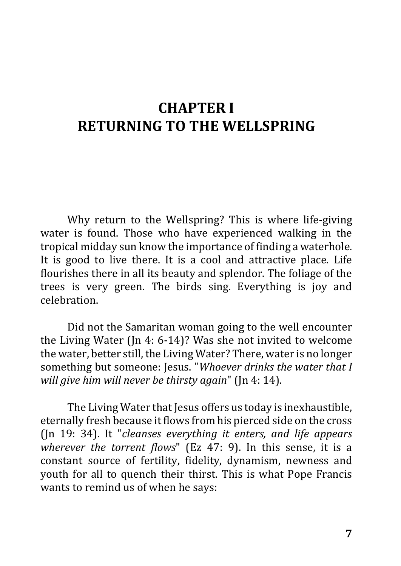# <span id="page-6-0"></span>**CHAPTER I RETURNING TO THE WELLSPRING**

Why return to the Wellspring? This is where life-giving water is found. Those who have experienced walking in the tropical midday sun know the importance of finding a waterhole. It is good to live there. It is a cool and attractive place. Life flourishes there in all its beauty and splendor. The foliage of the trees is very green. The birds sing. Everything is joy and celebration.

Did not the Samaritan woman going to the well encounter the Living Water (Jn 4: 6-14)? Was she not invited to welcome the water, better still, the Living Water? There, water is no longer something but someone: Jesus. "*Whoever drinks the water that I will give him will never be thirsty again*" (Jn 4: 14).

The Living Water that Jesus offers us today is inexhaustible, eternally fresh because it flows from his pierced side on the cross (Jn 19: 34). It "*cleanses everything it enters, and life appears wherever the torrent flows*" (Ez 47: 9). In this sense, it is a constant source of fertility, fidelity, dynamism, newness and youth for all to quench their thirst. This is what Pope Francis wants to remind us of when he says: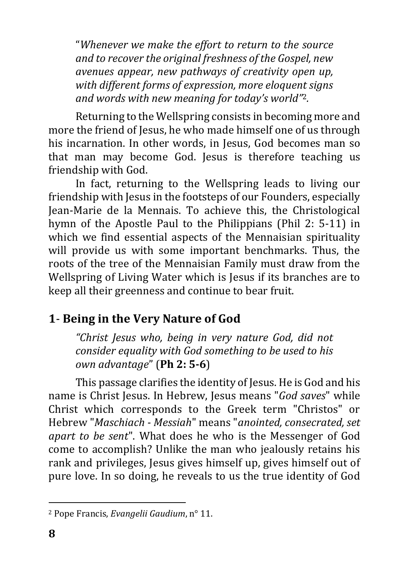"*Whenever we make the effort to return to the source and to recover the original freshness of the Gospel, new avenues appear, new pathways of creativity open up, with different forms of expression, more eloquent signs and words with new meaning for today's world"* 2*.*

Returning to the Wellspring consists in becoming more and more the friend of Jesus, he who made himself one of us through his incarnation. In other words, in Jesus, God becomes man so that man may become God. Jesus is therefore teaching us friendship with God.

In fact, returning to the Wellspring leads to living our friendship with Jesus in the footsteps of our Founders, especially Jean-Marie de la Mennais. To achieve this, the Christological hymn of the Apostle Paul to the Philippians (Phil 2: 5-11) in which we find essential aspects of the Mennaisian spirituality will provide us with some important benchmarks. Thus, the roots of the tree of the Mennaisian Family must draw from the Wellspring of Living Water which is Jesus if its branches are to keep all their greenness and continue to bear fruit.

#### <span id="page-7-0"></span>**1**- **Being in the Very Nature of God**

*"Christ Jesus who, being in very nature God, did not consider equality with God something to be used to his own advantage*" (**Ph 2: 5-6**)

This passage clarifies the identity of Jesus. He is God and his name is Christ Jesus. In Hebrew, Jesus means "*God saves*" while Christ which corresponds to the Greek term "Christos" or Hebrew "*Maschiach - Messiah*" means "*anointed, consecrated, set apart to be sent*". What does he who is the Messenger of God come to accomplish? Unlike the man who jealously retains his rank and privileges, Jesus gives himself up, gives himself out of pure love. In so doing, he reveals to us the true identity of God

<sup>2</sup> Pope Francis, *Evangelii Gaudium*, n° 11.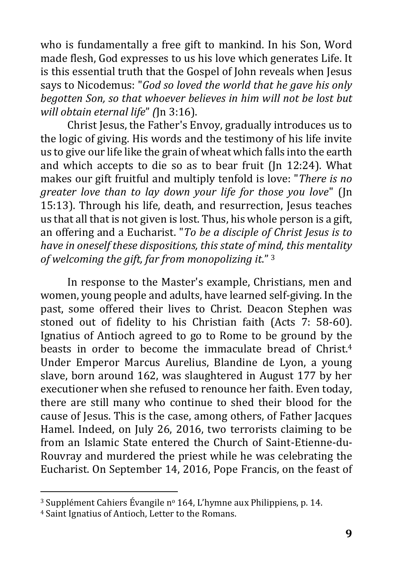who is fundamentally a free gift to mankind. In his Son, Word made flesh, God expresses to us his love which generates Life. It is this essential truth that the Gospel of John reveals when Jesus says to Nicodemus: "*God so loved the world that he gave his only begotten Son, so that whoever believes in him will not be lost but will obtain eternal life*" *(*Jn 3:16).

Christ Jesus, the Father's Envoy, gradually introduces us to the logic of giving. His words and the testimony of his life invite us to give our life like the grain of wheat which falls into the earth and which accepts to die so as to bear fruit (Jn 12:24). What makes our gift fruitful and multiply tenfold is love: "*There is no greater love than to lay down your life for those you love*" (Jn 15:13). Through his life, death, and resurrection, Jesus teaches us that all that is not given is lost. Thus, his whole person is a gift, an offering and a Eucharist. "*To be a disciple of Christ Jesus is to have in oneself these dispositions, this state of mind, this mentality of welcoming the gift, far from monopolizing it*." <sup>3</sup>

In response to the Master's example, Christians, men and women, young people and adults, have learned self-giving. In the past, some offered their lives to Christ. Deacon Stephen was stoned out of fidelity to his Christian faith (Acts 7: 58-60). Ignatius of Antioch agreed to go to Rome to be ground by the beasts in order to become the immaculate bread of Christ.<sup>4</sup> Under Emperor Marcus Aurelius, Blandine de Lyon, a young slave, born around 162, was slaughtered in August 177 by her executioner when she refused to renounce her faith. Even today, there are still many who continue to shed their blood for the cause of Jesus. This is the case, among others, of Father Jacques Hamel. Indeed, on July 26, 2016, two terrorists claiming to be from an Islamic State entered the Church of Saint-Etienne-du-Rouvray and murdered the priest while he was celebrating the Eucharist. On September 14, 2016, Pope Francis, on the feast of

<sup>&</sup>lt;sup>3</sup> Supplément Cahiers Évangile n<sup>o</sup> 164, L'hymne aux Philippiens, p. 14.

<sup>4</sup> Saint Ignatius of Antioch, Letter to the Romans.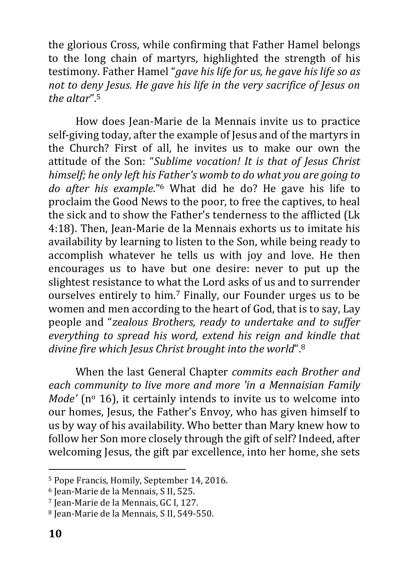the glorious Cross, while confirming that Father Hamel belongs to the long chain of martyrs, highlighted the strength of his testimony. Father Hamel "*gave his life for us, he gave his life so as not to deny Jesus. He gave his life in the very sacrifice of Jesus on the altar*". 5

How does Jean-Marie de la Mennais invite us to practice self-giving today, after the example of Jesus and of the martyrs in the Church? First of all, he invites us to make our own the attitude of the Son: "*Sublime vocation! It is that of Jesus Christ himself; he only left his Father's womb to do what you are going to do after his example*." <sup>6</sup> What did he do? He gave his life to proclaim the Good News to the poor, to free the captives, to heal the sick and to show the Father's tenderness to the afflicted (Lk 4:18). Then, Jean-Marie de la Mennais exhorts us to imitate his availability by learning to listen to the Son, while being ready to accomplish whatever he tells us with joy and love. He then encourages us to have but one desire: never to put up the slightest resistance to what the Lord asks of us and to surrender ourselves entirely to him.<sup>7</sup> Finally, our Founder urges us to be women and men according to the heart of God, that is to say, Lay people and "*zealous Brothers, ready to undertake and to suffer everything to spread his word, extend his reign and kindle that divine fire which Jesus Christ brought into the world*".<sup>8</sup>

When the last General Chapter *commits each Brother and each community to live more and more 'in a Mennaisian Family Mode'* (n<sup>o</sup> 16), it certainly intends to invite us to welcome into our homes, Jesus, the Father's Envoy, who has given himself to us by way of his availability. Who better than Mary knew how to follow her Son more closely through the gift of self? Indeed, after welcoming Jesus, the gift par excellence, into her home, she sets

<sup>5</sup> Pope Francis, Homily, September 14, 2016.

<sup>6</sup> Jean-Marie de la Mennais, S II, 525.

<sup>7</sup> Jean-Marie de la Mennais, GC I, 127.

<sup>8</sup> Jean-Marie de la Mennais, S II, 549-550.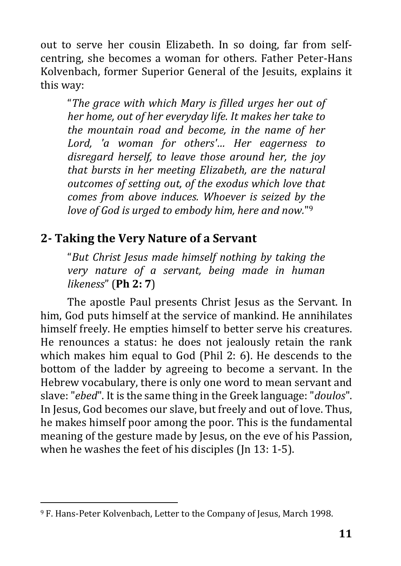out to serve her cousin Elizabeth. In so doing, far from selfcentring, she becomes a woman for others. Father Peter-Hans Kolvenbach, former Superior General of the Jesuits, explains it this way:

"*The grace with which Mary is filled urges her out of her home, out of her everyday life. It makes her take to the mountain road and become, in the name of her Lord, 'a woman for others'… Her eagerness to disregard herself, to leave those around her, the joy that bursts in her meeting Elizabeth, are the natural outcomes of setting out, of the exodus which love that comes from above induces. Whoever is seized by the love of God is urged to embody him, here and now.*" 9

## <span id="page-10-0"></span>**2- Taking the Very Nature of a Servant**

"*But Christ Jesus made himself nothing by taking the very nature of a servant, being made in human likeness*" (**Ph 2: 7**)

The apostle Paul presents Christ Jesus as the Servant. In him, God puts himself at the service of mankind. He annihilates himself freely. He empties himself to better serve his creatures. He renounces a status: he does not jealously retain the rank which makes him equal to God (Phil 2: 6). He descends to the bottom of the ladder by agreeing to become a servant. In the Hebrew vocabulary, there is only one word to mean servant and slave: "*ebed*". It is the same thing in the Greek language: "*doulos*". In Jesus, God becomes our slave, but freely and out of love. Thus, he makes himself poor among the poor. This is the fundamental meaning of the gesture made by Jesus, on the eve of his Passion, when he washes the feet of his disciples (Jn 13: 1-5).

<sup>9</sup> F. Hans-Peter Kolvenbach, Letter to the Company of Jesus, March 1998.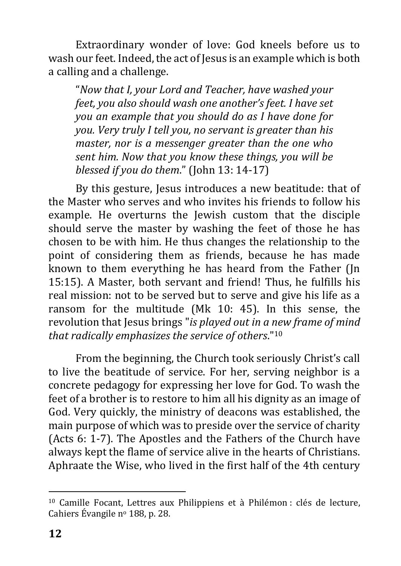Extraordinary wonder of love: God kneels before us to wash our feet. Indeed, the act of Jesus is an example which is both a calling and a challenge.

"*Now that I, your Lord and Teacher, have washed your feet, you also should wash one another's feet. I have set you an example that you should do as I have done for you. Very truly I tell you, no servant is greater than his master, nor is a messenger greater than the one who sent him. Now that you know these things, you will be blessed if you do them*." (John 13: 14-17)

By this gesture, Jesus introduces a new beatitude: that of the Master who serves and who invites his friends to follow his example. He overturns the Jewish custom that the disciple should serve the master by washing the feet of those he has chosen to be with him. He thus changes the relationship to the point of considering them as friends, because he has made known to them everything he has heard from the Father (Jn 15:15). A Master, both servant and friend! Thus, he fulfills his real mission: not to be served but to serve and give his life as a ransom for the multitude (Mk 10: 45). In this sense, the revolution that Jesus brings "*is played out in a new frame of mind that radically emphasizes the service of others*."<sup>10</sup>

From the beginning, the Church took seriously Christ's call to live the beatitude of service. For her, serving neighbor is a concrete pedagogy for expressing her love for God. To wash the feet of a brother is to restore to him all his dignity as an image of God. Very quickly, the ministry of deacons was established, the main purpose of which was to preside over the service of charity (Acts 6: 1-7). The Apostles and the Fathers of the Church have always kept the flame of service alive in the hearts of Christians. Aphraate the Wise, who lived in the first half of the 4th century

<sup>10</sup> Camille Focant, Lettres aux Philippiens et à Philémon : clés de lecture, Cahiers Évangile n<sup>o</sup> 188, p. 28.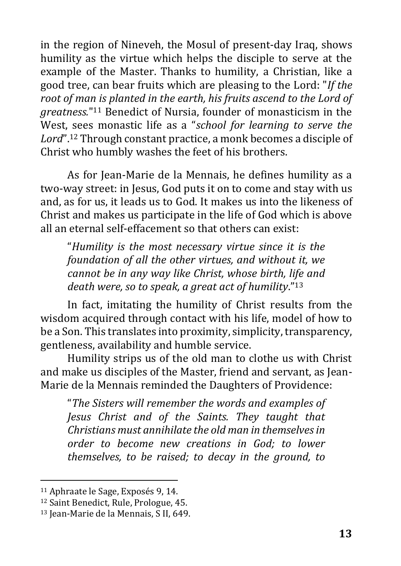in the region of Nineveh, the Mosul of present-day Iraq, shows humility as the virtue which helps the disciple to serve at the example of the Master. Thanks to humility, a Christian, like a good tree, can bear fruits which are pleasing to the Lord: "*If the root of man is planted in the earth, his fruits ascend to the Lord of greatness.*" <sup>11</sup> Benedict of Nursia, founder of monasticism in the West, sees monastic life as a "*school for learning to serve the Lord*".<sup>12</sup> Through constant practice, a monk becomes a disciple of Christ who humbly washes the feet of his brothers.

As for Jean-Marie de la Mennais, he defines humility as a two-way street: in Jesus, God puts it on to come and stay with us and, as for us, it leads us to God. It makes us into the likeness of Christ and makes us participate in the life of God which is above all an eternal self-effacement so that others can exist:

"*Humility is the most necessary virtue since it is the foundation of all the other virtues, and without it, we cannot be in any way like Christ, whose birth, life and death were, so to speak, a great act of humility*."<sup>13</sup>

In fact, imitating the humility of Christ results from the wisdom acquired through contact with his life, model of how to be a Son. This translates into proximity, simplicity, transparency, gentleness, availability and humble service.

Humility strips us of the old man to clothe us with Christ and make us disciples of the Master, friend and servant, as Jean-Marie de la Mennais reminded the Daughters of Providence:

"*The Sisters will remember the words and examples of Jesus Christ and of the Saints. They taught that Christians must annihilate the old man in themselves in order to become new creations in God; to lower themselves, to be raised; to decay in the ground, to* 

<sup>11</sup> Aphraate le Sage, Exposés 9, 14.

<sup>12</sup> Saint Benedict, Rule, Prologue, 45.

<sup>13</sup> Jean-Marie de la Mennais, S II, 649.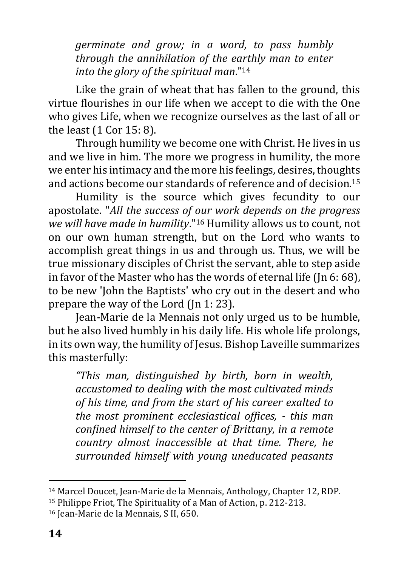*germinate and grow; in a word, to pass humbly through the annihilation of the earthly man to enter into the glory of the spiritual man*."<sup>14</sup>

Like the grain of wheat that has fallen to the ground, this virtue flourishes in our life when we accept to die with the One who gives Life, when we recognize ourselves as the last of all or the least (1 Cor 15: 8).

Through humility we become one with Christ. He lives in us and we live in him. The more we progress in humility, the more we enter his intimacy and the more his feelings, desires, thoughts and actions become our standards of reference and of decision.<sup>15</sup>

Humility is the source which gives fecundity to our apostolate. "*All the success of our work depends on the progress we will have made in humility*."<sup>16</sup> Humility allows us to count, not on our own human strength, but on the Lord who wants to accomplish great things in us and through us. Thus, we will be true missionary disciples of Christ the servant, able to step aside in favor of the Master who has the words of eternal life (Jn 6: 68), to be new 'John the Baptists' who cry out in the desert and who prepare the way of the Lord (Jn 1: 23).

Jean-Marie de la Mennais not only urged us to be humble, but he also lived humbly in his daily life. His whole life prolongs, in its own way, the humility of Jesus. Bishop Laveille summarizes this masterfully:

*"This man, distinguished by birth, born in wealth, accustomed to dealing with the most cultivated minds of his time, and from the start of his career exalted to the most prominent ecclesiastical offices, - this man confined himself to the center of Brittany, in a remote country almost inaccessible at that time. There, he surrounded himself with young uneducated peasants* 

<sup>14</sup> Marcel Doucet, Jean-Marie de la Mennais, Anthology, Chapter 12, RDP. <sup>15</sup> Philippe Friot, The Spirituality of a Man of Action, p. 212-213.

<sup>16</sup> Jean-Marie de la Mennais, S II, 650.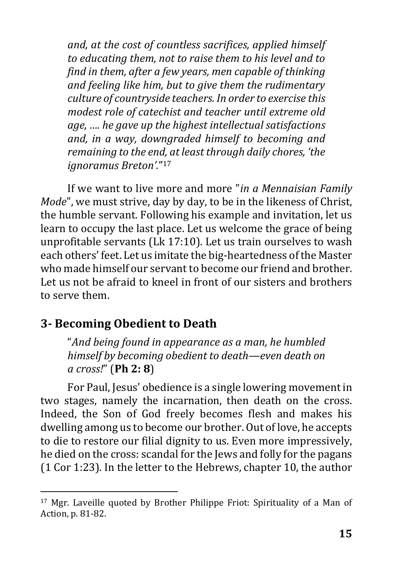*and, at the cost of countless sacrifices, applied himself to educating them, not to raise them to his level and to find in them, after a few years, men capable of thinking and feeling like him, but to give them the rudimentary culture of countryside teachers. In order to exercise this modest role of catechist and teacher until extreme old age, …. he gave up the highest intellectual satisfactions and, in a way, downgraded himself to becoming and remaining to the end, at least through daily chores, 'the ignoramus Breton'.*" 17

If we want to live more and more "*in a Mennaisian Family Mode*", we must strive, day by day, to be in the likeness of Christ, the humble servant. Following his example and invitation, let us learn to occupy the last place. Let us welcome the grace of being unprofitable servants (Lk 17:10). Let us train ourselves to wash each others' feet. Let us imitate the big-heartedness of the Master who made himself our servant to become our friend and brother. Let us not be afraid to kneel in front of our sisters and brothers to serve them.

#### <span id="page-14-0"></span>**3- Becoming Obedient to Death**

"*And being found in appearance as a man, he humbled himself by becoming obedient to death—even death on a cross!*" (**Ph 2: 8**)

For Paul, Jesus' obedience is a single lowering movement in two stages, namely the incarnation, then death on the cross. Indeed, the Son of God freely becomes flesh and makes his dwelling among us to become our brother. Out of love, he accepts to die to restore our filial dignity to us. Even more impressively, he died on the cross: scandal for the Jews and folly for the pagans (1 Cor 1:23). In the letter to the Hebrews, chapter 10, the author

<sup>17</sup> Mgr. Laveille quoted by Brother Philippe Friot: Spirituality of a Man of Action, p. 81-82.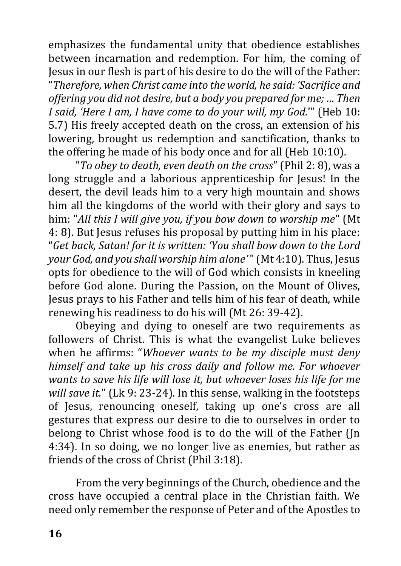emphasizes the fundamental unity that obedience establishes between incarnation and redemption. For him, the coming of Jesus in our flesh is part of his desire to do the will of the Father: "*Therefore, when Christ came into the world, he said: 'Sacrifice and offering you did not desire, but a body you prepared for me; … Then I said, 'Here I am, I have come to do your will, my God.*'" (Heb 10: 5.7) His freely accepted death on the cross, an extension of his lowering, brought us redemption and sanctification, thanks to the offering he made of his body once and for all (Heb 10:10).

"*To obey to death, even death on the cross*" (Phil 2: 8), was a long struggle and a laborious apprenticeship for Jesus! In the desert, the devil leads him to a very high mountain and shows him all the kingdoms of the world with their glory and says to him: "*All this I will give you, if you bow down to worship me*" (Mt 4: 8). But Jesus refuses his proposal by putting him in his place: "*Get back, Satan! for it is written: 'You shall bow down to the Lord your God, and you shall worship him alone'*" (Mt 4:10). Thus, Jesus opts for obedience to the will of God which consists in kneeling before God alone. During the Passion, on the Mount of Olives, Jesus prays to his Father and tells him of his fear of death, while renewing his readiness to do his will (Mt 26: 39-42).

Obeying and dying to oneself are two requirements as followers of Christ. This is what the evangelist Luke believes when he affirms: "*Whoever wants to be my disciple must deny himself and take up his cross daily and follow me. For whoever wants to save his life will lose it, but whoever loses his life for me will save it.*" (Lk 9: 23-24). In this sense, walking in the footsteps of Jesus, renouncing oneself, taking up one's cross are all gestures that express our desire to die to ourselves in order to belong to Christ whose food is to do the will of the Father (Jn 4:34). In so doing, we no longer live as enemies, but rather as friends of the cross of Christ (Phil 3:18).

From the very beginnings of the Church, obedience and the cross have occupied a central place in the Christian faith. We need only remember the response of Peter and of the Apostles to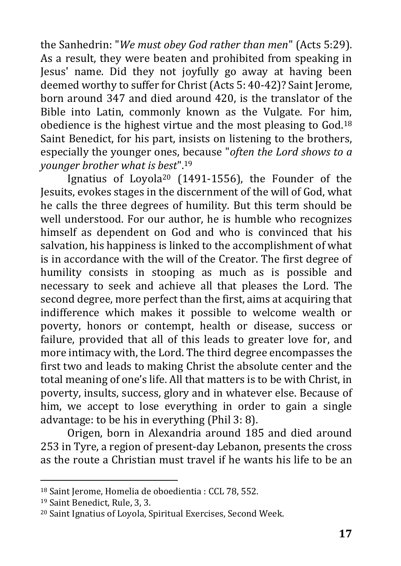the Sanhedrin: "*We must obey God rather than men*" (Acts 5:29). As a result, they were beaten and prohibited from speaking in Jesus' name. Did they not joyfully go away at having been deemed worthy to suffer for Christ (Acts 5: 40-42)? Saint Jerome, born around 347 and died around 420, is the translator of the Bible into Latin, commonly known as the Vulgate. For him, obedience is the highest virtue and the most pleasing to God.<sup>18</sup> Saint Benedict, for his part, insists on listening to the brothers, especially the younger ones, because "*often the Lord shows to a younger brother what is best*".<sup>19</sup>

Ignatius of Loyola<sup>20</sup> (1491-1556), the Founder of the Jesuits, evokes stages in the discernment of the will of God, what he calls the three degrees of humility. But this term should be well understood. For our author, he is humble who recognizes himself as dependent on God and who is convinced that his salvation, his happiness is linked to the accomplishment of what is in accordance with the will of the Creator. The first degree of humility consists in stooping as much as is possible and necessary to seek and achieve all that pleases the Lord. The second degree, more perfect than the first, aims at acquiring that indifference which makes it possible to welcome wealth or poverty, honors or contempt, health or disease, success or failure, provided that all of this leads to greater love for, and more intimacy with, the Lord. The third degree encompasses the first two and leads to making Christ the absolute center and the total meaning of one's life. All that matters is to be with Christ, in poverty, insults, success, glory and in whatever else. Because of him, we accept to lose everything in order to gain a single advantage: to be his in everything (Phil 3: 8).

Origen, born in Alexandria around 185 and died around 253 in Tyre, a region of present-day Lebanon, presents the cross as the route a Christian must travel if he wants his life to be an

<sup>18</sup> Saint Jerome, Homelia de oboedientia : CCL 78, 552.

<sup>19</sup> Saint Benedict, Rule, 3, 3.

<sup>20</sup> Saint Ignatius of Loyola, Spiritual Exercises, Second Week.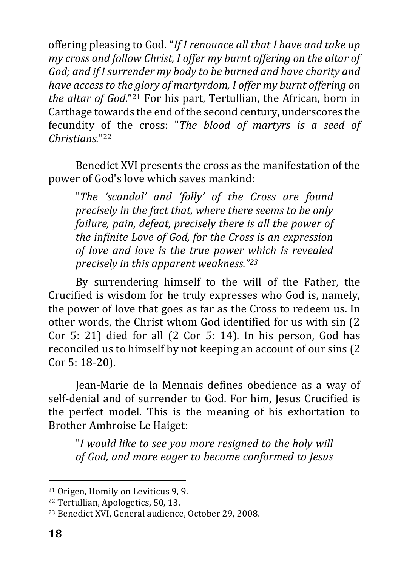offering pleasing to God. "*If I renounce all that I have and take up my cross and follow Christ, I offer my burnt offering on the altar of God; and if I surrender my body to be burned and have charity and have access to the glory of martyrdom, I offer my burnt offering on the altar of God*."<sup>21</sup> For his part, Tertullian, the African, born in Carthage towards the end of the second century, underscores the fecundity of the cross: "*The blood of martyrs is a seed of Christians.*" 22

Benedict XVI presents the cross as the manifestation of the power of God's love which saves mankind:

"*The 'scandal' and 'folly' of the Cross are found precisely in the fact that, where there seems to be only failure, pain, defeat, precisely there is all the power of the infinite Love of God, for the Cross is an expression of love and love is the true power which is revealed precisely in this apparent weakness."<sup>23</sup>*

By surrendering himself to the will of the Father, the Crucified is wisdom for he truly expresses who God is, namely, the power of love that goes as far as the Cross to redeem us. In other words, the Christ whom God identified for us with sin (2 Cor 5: 21) died for all (2 Cor 5: 14). In his person, God has reconciled us to himself by not keeping an account of our sins (2 Cor 5: 18-20).

Jean-Marie de la Mennais defines obedience as a way of self-denial and of surrender to God. For him, Jesus Crucified is the perfect model. This is the meaning of his exhortation to Brother Ambroise Le Haiget:

"*I would like to see you more resigned to the holy will of God, and more eager to become conformed to Jesus* 

<sup>21</sup> Origen, Homily on Leviticus 9, 9.

<sup>22</sup> Tertullian, Apologetics, 50, 13.

<sup>23</sup> Benedict XVI, General audience, October 29, 2008.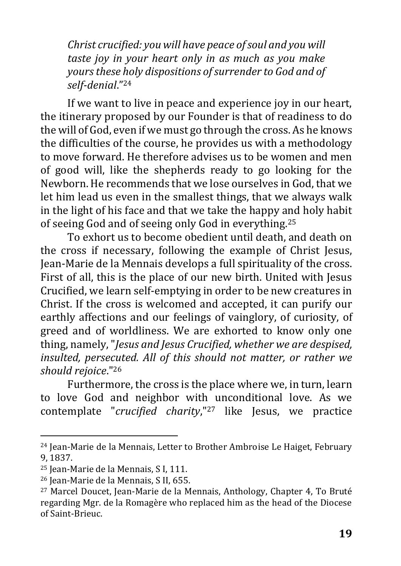*Christ crucified: you will have peace of soul and you will taste joy in your heart only in as much as you make yours these holy dispositions of surrender to God and of self-denial*."<sup>24</sup>

If we want to live in peace and experience joy in our heart, the itinerary proposed by our Founder is that of readiness to do the will of God, even if we must go through the cross. As he knows the difficulties of the course, he provides us with a methodology to move forward. He therefore advises us to be women and men of good will, like the shepherds ready to go looking for the Newborn. He recommends that we lose ourselves in God, that we let him lead us even in the smallest things, that we always walk in the light of his face and that we take the happy and holy habit of seeing God and of seeing only God in everything.<sup>25</sup>

To exhort us to become obedient until death, and death on the cross if necessary, following the example of Christ Jesus, Jean-Marie de la Mennais develops a full spirituality of the cross. First of all, this is the place of our new birth. United with Jesus Crucified, we learn self-emptying in order to be new creatures in Christ. If the cross is welcomed and accepted, it can purify our earthly affections and our feelings of vainglory, of curiosity, of greed and of worldliness. We are exhorted to know only one thing, namely, "*Jesus and Jesus Crucified, whether we are despised, insulted, persecuted. All of this should not matter, or rather we should rejoice*." 26

Furthermore, the cross is the place where we, in turn, learn to love God and neighbor with unconditional love. As we contemplate "*crucified charity*,"<sup>27</sup> like Jesus, we practice

<sup>24</sup> Jean-Marie de la Mennais, Letter to Brother Ambroise Le Haiget, February 9, 1837.

<sup>25</sup> Jean-Marie de la Mennais, S I, 111.

<sup>26</sup> Jean-Marie de la Mennais, S II, 655.

<sup>27</sup> Marcel Doucet, Jean-Marie de la Mennais, Anthology, Chapter 4, To Bruté regarding Mgr. de la Romagère who replaced him as the head of the Diocese of Saint-Brieuc.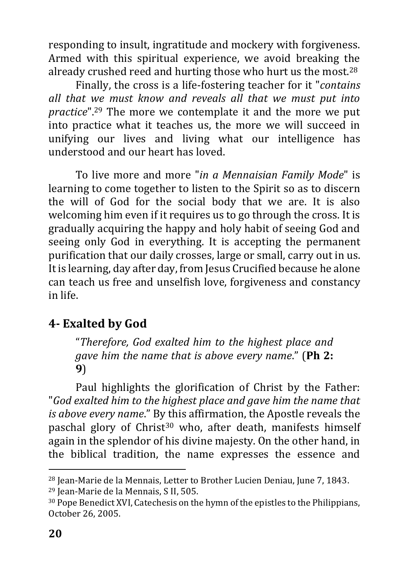responding to insult, ingratitude and mockery with forgiveness. Armed with this spiritual experience, we avoid breaking the already crushed reed and hurting those who hurt us the most.<sup>28</sup>

Finally, the cross is a life-fostering teacher for it "*contains all that we must know and reveals all that we must put into practice*".<sup>29</sup> The more we contemplate it and the more we put into practice what it teaches us, the more we will succeed in unifying our lives and living what our intelligence has understood and our heart has loved.

To live more and more "*in a Mennaisian Family Mode*" is learning to come together to listen to the Spirit so as to discern the will of God for the social body that we are. It is also welcoming him even if it requires us to go through the cross. It is gradually acquiring the happy and holy habit of seeing God and seeing only God in everything. It is accepting the permanent purification that our daily crosses, large or small, carry out in us. It is learning, day after day, from Jesus Crucified because he alone can teach us free and unselfish love, forgiveness and constancy in life.

#### <span id="page-19-0"></span>**4- Exalted by God**

"*Therefore, God exalted him to the highest place and gave him the name that is above every name*." (**Ph 2: 9**)

Paul highlights the glorification of Christ by the Father: "*God exalted him to the highest place and gave him the name that is above every name*." By this affirmation, the Apostle reveals the paschal glory of Christ<sup>30</sup> who, after death, manifests himself again in the splendor of his divine majesty. On the other hand, in the biblical tradition, the name expresses the essence and

<sup>28</sup> Jean-Marie de la Mennais, Letter to Brother Lucien Deniau, June 7, 1843.

<sup>29</sup> Jean-Marie de la Mennais, S II, 505.

<sup>&</sup>lt;sup>30</sup> Pope Benedict XVI, Catechesis on the hymn of the epistles to the Philippians, October 26, 2005.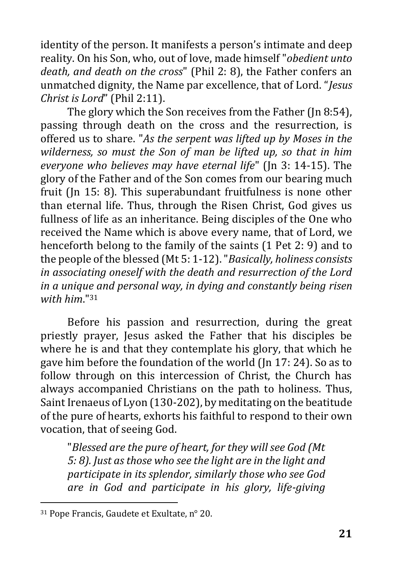identity of the person. It manifests a person's intimate and deep reality. On his Son, who, out of love, made himself "*obedient unto death, and death on the cross*" (Phil 2: 8), the Father confers an unmatched dignity, the Name par excellence, that of Lord. "*Jesus Christ is Lord*" (Phil 2:11).

The glory which the Son receives from the Father (Jn 8:54), passing through death on the cross and the resurrection, is offered us to share. "*As the serpent was lifted up by Moses in the wilderness, so must the Son of man be lifted up, so that in him everyone who believes may have eternal life*" (Jn 3: 14-15). The glory of the Father and of the Son comes from our bearing much fruit (Jn 15: 8). This superabundant fruitfulness is none other than eternal life. Thus, through the Risen Christ, God gives us fullness of life as an inheritance. Being disciples of the One who received the Name which is above every name, that of Lord, we henceforth belong to the family of the saints (1 Pet 2: 9) and to the people of the blessed (Mt 5: 1-12). "*Basically, holiness consists in associating oneself with the death and resurrection of the Lord in a unique and personal way, in dying and constantly being risen with him*."<sup>31</sup>

Before his passion and resurrection, during the great priestly prayer, Jesus asked the Father that his disciples be where he is and that they contemplate his glory, that which he gave him before the foundation of the world (Jn 17: 24). So as to follow through on this intercession of Christ, the Church has always accompanied Christians on the path to holiness. Thus, Saint Irenaeus of Lyon (130-202), by meditating on the beatitude of the pure of hearts, exhorts his faithful to respond to their own vocation, that of seeing God.

"*Blessed are the pure of heart, for they will see God (Mt 5: 8). Just as those who see the light are in the light and participate in its splendor, similarly those who see God are in God and participate in his glory, life-giving* 

<sup>31</sup> Pope Francis, Gaudete et Exultate, n° 20.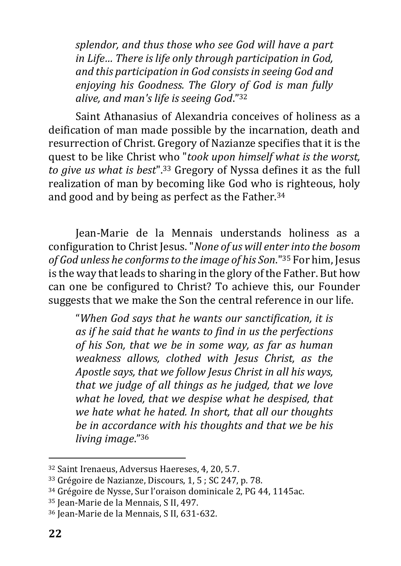*splendor, and thus those who see God will have a part in Life… There is life only through participation in God, and this participation in God consists in seeing God and enjoying his Goodness. The Glory of God is man fully alive, and man's life is seeing God*." 32

Saint Athanasius of Alexandria conceives of holiness as a deification of man made possible by the incarnation, death and resurrection of Christ. Gregory of Nazianze specifies that it is the quest to be like Christ who "*took upon himself what is the worst, to give us what is best*".<sup>33</sup> Gregory of Nyssa defines it as the full realization of man by becoming like God who is righteous, holy and good and by being as perfect as the Father.<sup>34</sup>

Jean-Marie de la Mennais understands holiness as a configuration to Christ Jesus. "*None of us will enter into the bosom of God unless he conforms to the image of his Son*."<sup>35</sup> For him, Jesus is the way that leads to sharing in the glory of the Father. But how can one be configured to Christ? To achieve this, our Founder suggests that we make the Son the central reference in our life.

"*When God says that he wants our sanctification, it is as if he said that he wants to find in us the perfections of his Son, that we be in some way, as far as human weakness allows, clothed with Jesus Christ, as the Apostle says, that we follow Jesus Christ in all his ways, that we judge of all things as he judged, that we love what he loved, that we despise what he despised, that we hate what he hated. In short, that all our thoughts be in accordance with his thoughts and that we be his living image*."<sup>36</sup>

<sup>32</sup> Saint Irenaeus, Adversus Haereses, 4, 20, 5.7.

<sup>33</sup> Grégoire de Nazianze, Discours, 1, 5 ; SC 247, p. 78.

<sup>34</sup> Grégoire de Nysse, Sur l'oraison dominicale 2, PG 44, 1145ac.

<sup>35</sup> Jean-Marie de la Mennais, S II, 497.

<sup>36</sup> Jean-Marie de la Mennais, S II, 631-632.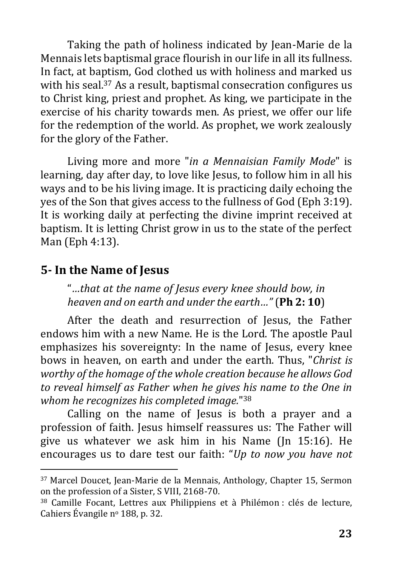Taking the path of holiness indicated by Jean-Marie de la Mennais lets baptismal grace flourish in our life in all its fullness. In fact, at baptism, God clothed us with holiness and marked us with his seal.<sup>37</sup> As a result, baptismal consecration configures us to Christ king, priest and prophet. As king, we participate in the exercise of his charity towards men. As priest, we offer our life for the redemption of the world. As prophet, we work zealously for the glory of the Father.

Living more and more "*in a Mennaisian Family Mode*" is learning, day after day, to love like Jesus, to follow him in all his ways and to be his living image. It is practicing daily echoing the yes of the Son that gives access to the fullness of God (Eph 3:19). It is working daily at perfecting the divine imprint received at baptism. It is letting Christ grow in us to the state of the perfect Man (Eph 4:13).

#### <span id="page-22-0"></span>**5- In the Name of Jesus**

"*…that at the name of Jesus every knee should bow, in heaven and on earth and under the earth…"* (**Ph 2: 10**)

After the death and resurrection of Jesus, the Father endows him with a new Name. He is the Lord. The apostle Paul emphasizes his sovereignty: In the name of Jesus, every knee bows in heaven, on earth and under the earth. Thus, "*Christ is worthy of the homage of the whole creation because he allows God to reveal himself as Father when he gives his name to the One in whom he recognizes his completed image.*" 38

Calling on the name of Jesus is both a prayer and a profession of faith. Jesus himself reassures us: The Father will give us whatever we ask him in his Name (Jn 15:16). He encourages us to dare test our faith: "*Up to now you have not* 

<sup>37</sup> Marcel Doucet, Jean-Marie de la Mennais, Anthology, Chapter 15, Sermon on the profession of a Sister, S VIII, 2168-70.

<sup>38</sup> Camille Focant, Lettres aux Philippiens et à Philémon : clés de lecture, Cahiers Évangile n<sup>o</sup> 188, p. 32.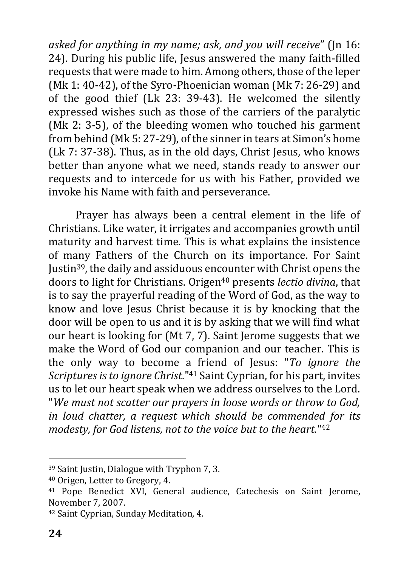*asked for anything in my name; ask, and you will receive*" (Jn 16: 24). During his public life, Jesus answered the many faith-filled requests that were made to him. Among others, those of the leper (Mk 1: 40-42), of the Syro-Phoenician woman (Mk 7: 26-29) and of the good thief (Lk 23: 39-43). He welcomed the silently expressed wishes such as those of the carriers of the paralytic (Mk 2: 3-5), of the bleeding women who touched his garment from behind (Mk 5: 27-29), of the sinner in tears at Simon's home (Lk 7: 37-38). Thus, as in the old days, Christ Jesus, who knows better than anyone what we need, stands ready to answer our requests and to intercede for us with his Father, provided we invoke his Name with faith and perseverance.

Prayer has always been a central element in the life of Christians. Like water, it irrigates and accompanies growth until maturity and harvest time. This is what explains the insistence of many Fathers of the Church on its importance. For Saint Justin39, the daily and assiduous encounter with Christ opens the doors to light for Christians. Origen<sup>40</sup> presents *lectio divina*, that is to say the prayerful reading of the Word of God, as the way to know and love Jesus Christ because it is by knocking that the door will be open to us and it is by asking that we will find what our heart is looking for (Mt 7, 7). Saint Jerome suggests that we make the Word of God our companion and our teacher. This is the only way to become a friend of Jesus: "*To ignore the Scriptures is to ignore Christ*."<sup>41</sup> Saint Cyprian, for his part, invites us to let our heart speak when we address ourselves to the Lord. "*We must not scatter our prayers in loose words or throw to God, in loud chatter, a request which should be commended for its modesty, for God listens, not to the voice but to the heart.*" 42

<sup>39</sup> Saint Justin, Dialogue with Tryphon 7, 3.

<sup>40</sup> Origen, Letter to Gregory, 4.

<sup>41</sup> Pope Benedict XVI, General audience, Catechesis on Saint Jerome, November 7, 2007.

<sup>42</sup> Saint Cyprian, Sunday Meditation, 4.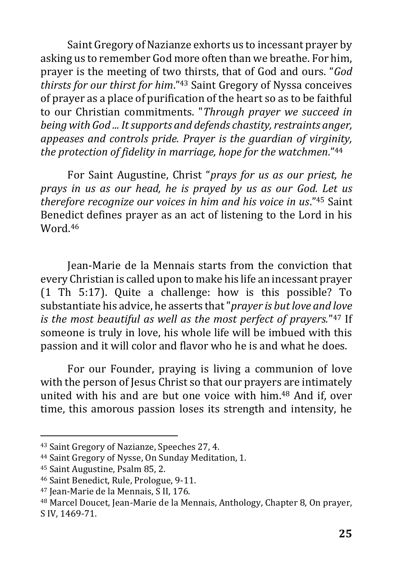Saint Gregory of Nazianze exhorts us to incessant prayer by asking us to remember God more often than we breathe. For him, prayer is the meeting of two thirsts, that of God and ours. "*God thirsts for our thirst for him*." <sup>43</sup> Saint Gregory of Nyssa conceives of prayer as a place of purification of the heart so as to be faithful to our Christian commitments. "*Through prayer we succeed in being with God ... It supports and defends chastity, restraints anger, appeases and controls pride. Prayer is the guardian of virginity, the protection of fidelity in marriage, hope for the watchmen.*" 44

For Saint Augustine, Christ "*prays for us as our priest, he prays in us as our head, he is prayed by us as our God. Let us therefore recognize our voices in him and his voice in us*."<sup>45</sup> Saint Benedict defines prayer as an act of listening to the Lord in his Word 46

Jean-Marie de la Mennais starts from the conviction that every Christian is called upon to make his life an incessant prayer (1 Th 5:17). Quite a challenge: how is this possible? To substantiate his advice, he asserts that "*prayer is but love and love is the most beautiful as well as the most perfect of prayers.*" <sup>47</sup> If someone is truly in love, his whole life will be imbued with this passion and it will color and flavor who he is and what he does.

For our Founder, praying is living a communion of love with the person of Jesus Christ so that our prayers are intimately united with his and are but one voice with him.<sup>48</sup> And if, over time, this amorous passion loses its strength and intensity, he

<sup>43</sup> Saint Gregory of Nazianze, Speeches 27, 4.

<sup>44</sup> Saint Gregory of Nysse, On Sunday Meditation, 1.

<sup>45</sup> Saint Augustine, Psalm 85, 2.

<sup>46</sup> Saint Benedict, Rule, Prologue, 9-11.

<sup>47</sup> Jean-Marie de la Mennais, S II, 176.

<sup>48</sup> Marcel Doucet, Jean-Marie de la Mennais, Anthology, Chapter 8, On prayer, S IV, 1469-71.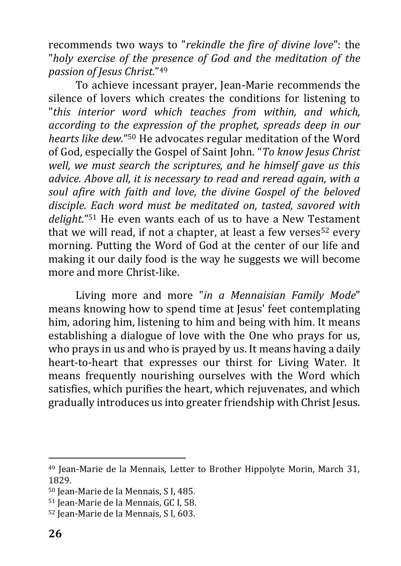recommends two ways to "*rekindle the fire of divine love*": the "*holy exercise of the presence of God and the meditation of the passion of Jesus Christ.*" 49

To achieve incessant prayer, Jean-Marie recommends the silence of lovers which creates the conditions for listening to "*this interior word which teaches from within, and which, according to the expression of the prophet, spreads deep in our hearts like dew*." <sup>50</sup> He advocates regular meditation of the Word of God, especially the Gospel of Saint John. "*To know Jesus Christ well, we must search the scriptures, and he himself gave us this advice. Above all, it is necessary to read and reread again, with a soul afire with faith and love, the divine Gospel of the beloved disciple. Each word must be meditated on, tasted, savored with delight*." <sup>51</sup> He even wants each of us to have a New Testament that we will read, if not a chapter, at least a few verses<sup>52</sup> every morning. Putting the Word of God at the center of our life and making it our daily food is the way he suggests we will become more and more Christ-like.

Living more and more "*in a Mennaisian Family Mode*" means knowing how to spend time at Jesus' feet contemplating him, adoring him, listening to him and being with him. It means establishing a dialogue of love with the One who prays for us, who prays in us and who is prayed by us. It means having a daily heart-to-heart that expresses our thirst for Living Water. It means frequently nourishing ourselves with the Word which satisfies, which purifies the heart, which rejuvenates, and which gradually introduces us into greater friendship with Christ Jesus.

<sup>49</sup> Jean-Marie de la Mennais, Letter to Brother Hippolyte Morin, March 31, 1829.

<sup>50</sup> Jean-Marie de la Mennais, S I, 485.

<sup>51</sup> Jean-Marie de la Mennais, GC I, 58.

<sup>52</sup> Jean-Marie de la Mennais, S I, 603.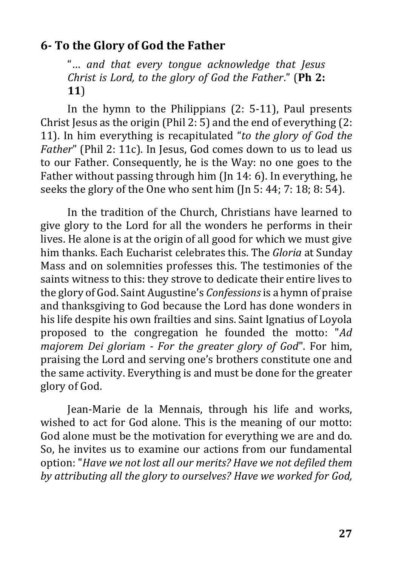#### <span id="page-26-0"></span>**6- To the Glory of God the Father**

"… *and that every tongue acknowledge that Jesus Christ is Lord, to the glory of God the Father*." (**Ph 2: 11**)

In the hymn to the Philippians (2: 5-11), Paul presents Christ Jesus as the origin (Phil 2: 5) and the end of everything  $(2:$ 11). In him everything is recapitulated "*to the glory of God the Father*" (Phil 2: 11c). In Jesus, God comes down to us to lead us to our Father. Consequently, he is the Way: no one goes to the Father without passing through him (Jn 14: 6). In everything, he seeks the glory of the One who sent him (Jn 5: 44; 7: 18; 8: 54).

In the tradition of the Church, Christians have learned to give glory to the Lord for all the wonders he performs in their lives. He alone is at the origin of all good for which we must give him thanks. Each Eucharist celebrates this. The *Gloria* at Sunday Mass and on solemnities professes this. The testimonies of the saints witness to this: they strove to dedicate their entire lives to the glory of God. Saint Augustine's *Confessions*is a hymn of praise and thanksgiving to God because the Lord has done wonders in his life despite his own frailties and sins. Saint Ignatius of Loyola proposed to the congregation he founded the motto: "*Ad majorem Dei gloriam - For the greater glory of God*". For him, praising the Lord and serving one's brothers constitute one and the same activity. Everything is and must be done for the greater glory of God.

Jean-Marie de la Mennais, through his life and works, wished to act for God alone. This is the meaning of our motto: God alone must be the motivation for everything we are and do. So, he invites us to examine our actions from our fundamental option: "*Have we not lost all our merits? Have we not defiled them by attributing all the glory to ourselves? Have we worked for God,*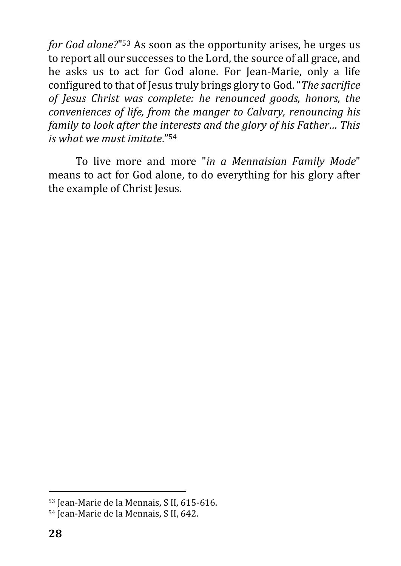*for God alone?*" <sup>53</sup> As soon as the opportunity arises, he urges us to report all our successes to the Lord, the source of all grace, and he asks us to act for God alone. For Jean-Marie, only a life configured to that of Jesus truly brings glory to God. "*The sacrifice of Jesus Christ was complete: he renounced goods, honors, the conveniences of life, from the manger to Calvary, renouncing his family to look after the interests and the glory of his Father… This is what we must imitate*." 54

To live more and more "*in a Mennaisian Family Mode*" means to act for God alone, to do everything for his glory after the example of Christ Jesus.

<sup>53</sup> Jean-Marie de la Mennais, S II, 615-616.

<sup>54</sup> Jean-Marie de la Mennais, S II, 642.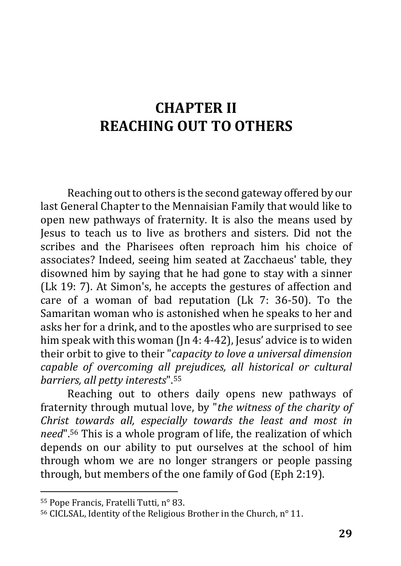# <span id="page-28-0"></span>**CHAPTER II REACHING OUT TO OTHERS**

Reaching out to others is the second gateway offered by our last General Chapter to the Mennaisian Family that would like to open new pathways of fraternity. It is also the means used by Jesus to teach us to live as brothers and sisters. Did not the scribes and the Pharisees often reproach him his choice of associates? Indeed, seeing him seated at Zacchaeus' table, they disowned him by saying that he had gone to stay with a sinner (Lk 19: 7). At Simon's, he accepts the gestures of affection and care of a woman of bad reputation (Lk 7: 36-50). To the Samaritan woman who is astonished when he speaks to her and asks her for a drink, and to the apostles who are surprised to see him speak with this woman (Jn 4: 4-42), Jesus' advice is to widen their orbit to give to their "*capacity to love a universal dimension capable of overcoming all prejudices, all historical or cultural barriers, all petty interests*".<sup>55</sup>

Reaching out to others daily opens new pathways of fraternity through mutual love, by "*the witness of the charity of Christ towards all, especially towards the least and most in need*".<sup>56</sup> This is a whole program of life, the realization of which depends on our ability to put ourselves at the school of him through whom we are no longer strangers or people passing through, but members of the one family of God (Eph 2:19).

<sup>55</sup> Pope Francis, Fratelli Tutti, n° 83.

<sup>56</sup> CICLSAL, Identity of the Religious Brother in the Church, n° 11.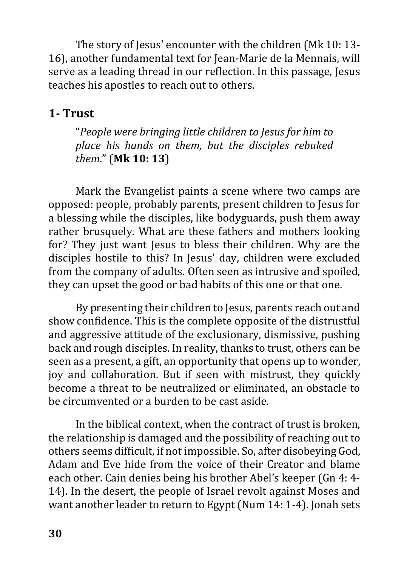The story of Jesus' encounter with the children (Mk 10: 13-16), another fundamental text for Jean-Marie de la Mennais, will serve as a leading thread in our reflection. In this passage, Jesus teaches his apostles to reach out to others.

#### <span id="page-29-0"></span>**1- Trust**

"*People were bringing little children to Jesus for him to place his hands on them, but the disciples rebuked them*." (**Mk 10: 13**)

Mark the Evangelist paints a scene where two camps are opposed: people, probably parents, present children to Jesus for a blessing while the disciples, like bodyguards, push them away rather brusquely. What are these fathers and mothers looking for? They just want Jesus to bless their children. Why are the disciples hostile to this? In Jesus' day, children were excluded from the company of adults. Often seen as intrusive and spoiled, they can upset the good or bad habits of this one or that one.

By presenting their children to Jesus, parents reach out and show confidence. This is the complete opposite of the distrustful and aggressive attitude of the exclusionary, dismissive, pushing back and rough disciples. In reality, thanks to trust, others can be seen as a present, a gift, an opportunity that opens up to wonder, joy and collaboration. But if seen with mistrust, they quickly become a threat to be neutralized or eliminated, an obstacle to be circumvented or a burden to be cast aside.

In the biblical context, when the contract of trust is broken, the relationship is damaged and the possibility of reaching out to others seems difficult, if not impossible. So, after disobeying God, Adam and Eve hide from the voice of their Creator and blame each other. Cain denies being his brother Abel's keeper (Gn 4: 4- 14). In the desert, the people of Israel revolt against Moses and want another leader to return to Egypt (Num 14: 1-4). Jonah sets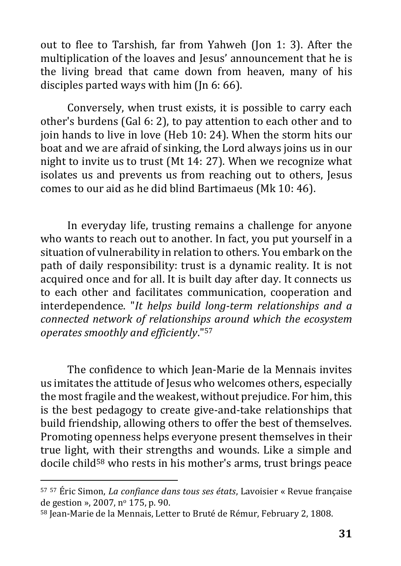out to flee to Tarshish, far from Yahweh (Jon 1: 3). After the multiplication of the loaves and Jesus' announcement that he is the living bread that came down from heaven, many of his disciples parted ways with him (Jn 6: 66).

Conversely, when trust exists, it is possible to carry each other's burdens (Gal 6: 2), to pay attention to each other and to join hands to live in love (Heb 10: 24). When the storm hits our boat and we are afraid of sinking, the Lord always joins us in our night to invite us to trust (Mt 14: 27). When we recognize what isolates us and prevents us from reaching out to others, Jesus comes to our aid as he did blind Bartimaeus (Mk 10: 46).

In everyday life, trusting remains a challenge for anyone who wants to reach out to another. In fact, you put yourself in a situation of vulnerability in relation to others. You embark on the path of daily responsibility: trust is a dynamic reality. It is not acquired once and for all. It is built day after day. It connects us to each other and facilitates communication, cooperation and interdependence. "*It helps build long-term relationships and a connected network of relationships around which the ecosystem operates smoothly and efficiently*."<sup>57</sup>

The confidence to which Jean-Marie de la Mennais invites us imitates the attitude of Jesus who welcomes others, especially the most fragile and the weakest, without prejudice. For him, this is the best pedagogy to create give-and-take relationships that build friendship, allowing others to offer the best of themselves. Promoting openness helps everyone present themselves in their true light, with their strengths and wounds. Like a simple and docile child<sup>58</sup> who rests in his mother's arms, trust brings peace

<sup>57</sup> <sup>57</sup> Éric Simon, *La confiance dans tous ses états*, Lavoisier « Revue française de gestion », 2007, n<sup>o</sup> 175, p. 90.

<sup>58</sup> Jean-Marie de la Mennais, Letter to Bruté de Rémur, February 2, 1808.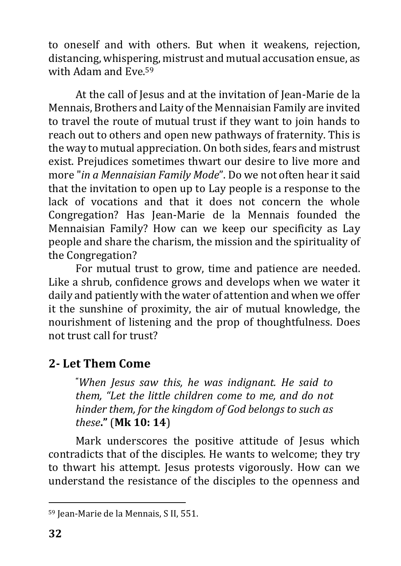to oneself and with others. But when it weakens, rejection, distancing, whispering, mistrust and mutual accusation ensue, as with Adam and Eve.<sup>59</sup>

At the call of Jesus and at the invitation of Jean-Marie de la Mennais, Brothers and Laity of the Mennaisian Family are invited to travel the route of mutual trust if they want to join hands to reach out to others and open new pathways of fraternity. This is the way to mutual appreciation. On both sides, fears and mistrust exist. Prejudices sometimes thwart our desire to live more and more "*in a Mennaisian Family Mode*". Do we not often hear it said that the invitation to open up to Lay people is a response to the lack of vocations and that it does not concern the whole Congregation? Has Jean-Marie de la Mennais founded the Mennaisian Family? How can we keep our specificity as Lay people and share the charism, the mission and the spirituality of the Congregation?

For mutual trust to grow, time and patience are needed. Like a shrub, confidence grows and develops when we water it daily and patiently with the water of attention and when we offer it the sunshine of proximity, the air of mutual knowledge, the nourishment of listening and the prop of thoughtfulness. Does not trust call for trust?

## <span id="page-31-0"></span>**2- Let Them Come**

**"***When Jesus saw this, he was indignant. He said to them, "Let the little children come to me, and do not hinder them, for the kingdom of God belongs to such as these***."** (**Mk 10: 14**)

Mark underscores the positive attitude of Jesus which contradicts that of the disciples. He wants to welcome; they try to thwart his attempt. Jesus protests vigorously. How can we understand the resistance of the disciples to the openness and

<sup>59</sup> Jean-Marie de la Mennais, S II, 551.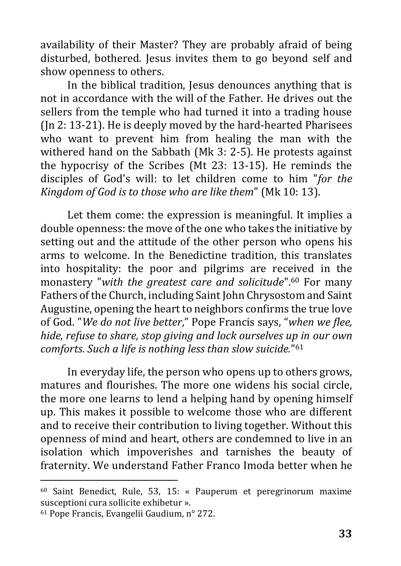availability of their Master? They are probably afraid of being disturbed, bothered. Jesus invites them to go beyond self and show openness to others.

In the biblical tradition, Jesus denounces anything that is not in accordance with the will of the Father. He drives out the sellers from the temple who had turned it into a trading house (Jn 2: 13-21). He is deeply moved by the hard-hearted Pharisees who want to prevent him from healing the man with the withered hand on the Sabbath (Mk 3: 2-5). He protests against the hypocrisy of the Scribes (Mt 23: 13-15). He reminds the disciples of God's will: to let children come to him "*for the Kingdom of God is to those who are like them*" (Mk 10: 13).

Let them come: the expression is meaningful. It implies a double openness: the move of the one who takes the initiative by setting out and the attitude of the other person who opens his arms to welcome. In the Benedictine tradition, this translates into hospitality: the poor and pilgrims are received in the monastery "*with the greatest care and solicitude*".<sup>60</sup> For many Fathers of the Church, including Saint John Chrysostom and Saint Augustine, opening the heart to neighbors confirms the true love of God. "*We do not live better*," Pope Francis says, "*when we flee, hide, refuse to share, stop giving and lock ourselves up in our own comforts. Such a life is nothing less than slow suicide.*" 61

In everyday life, the person who opens up to others grows, matures and flourishes. The more one widens his social circle, the more one learns to lend a helping hand by opening himself up. This makes it possible to welcome those who are different and to receive their contribution to living together. Without this openness of mind and heart, others are condemned to live in an isolation which impoverishes and tarnishes the beauty of fraternity. We understand Father Franco Imoda better when he

<sup>60</sup> Saint Benedict, Rule, 53, 15: « Pauperum et peregrinorum maxime susceptioni cura sollicite exhibetur ».

<sup>61</sup> Pope Francis, Evangelii Gaudium, n° 272.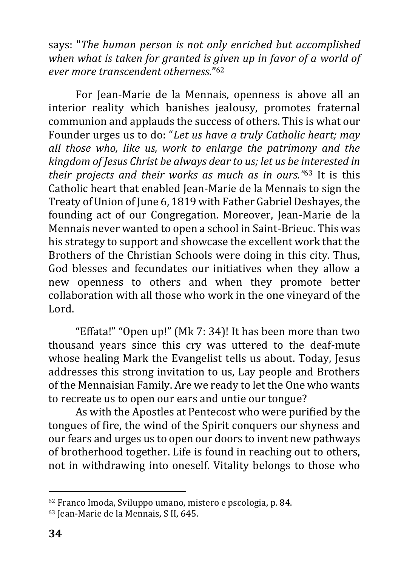says: "*The human person is not only enriched but accomplished when what is taken for granted is given up in favor of a world of ever more transcendent otherness.*" 62

For Jean-Marie de la Mennais, openness is above all an interior reality which banishes jealousy, promotes fraternal communion and applauds the success of others. This is what our Founder urges us to do: "*Let us have a truly Catholic heart; may all those who, like us, work to enlarge the patrimony and the kingdom of Jesus Christ be always dear to us; let us be interested in their projects and their works as much as in ours."*<sup>63</sup> It is this Catholic heart that enabled Jean-Marie de la Mennais to sign the Treaty of Union of June 6, 1819 with Father Gabriel Deshayes, the founding act of our Congregation. Moreover, Jean-Marie de la Mennais never wanted to open a school in Saint-Brieuc. This was his strategy to support and showcase the excellent work that the Brothers of the Christian Schools were doing in this city. Thus, God blesses and fecundates our initiatives when they allow a new openness to others and when they promote better collaboration with all those who work in the one vineyard of the Lord.

"Effata!" "Open up!" (Mk 7: 34)! It has been more than two thousand years since this cry was uttered to the deaf-mute whose healing Mark the Evangelist tells us about. Today, Jesus addresses this strong invitation to us, Lay people and Brothers of the Mennaisian Family. Are we ready to let the One who wants to recreate us to open our ears and untie our tongue?

As with the Apostles at Pentecost who were purified by the tongues of fire, the wind of the Spirit conquers our shyness and our fears and urges us to open our doors to invent new pathways of brotherhood together. Life is found in reaching out to others, not in withdrawing into oneself. Vitality belongs to those who

<sup>62</sup> Franco Imoda, Sviluppo umano, mistero e pscologia, p. 84.

<sup>63</sup> Jean-Marie de la Mennais, S II, 645.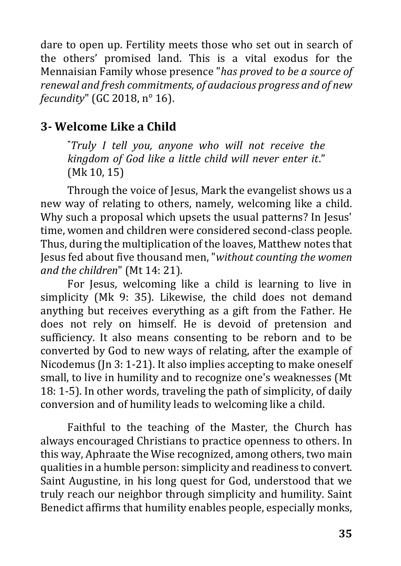dare to open up. Fertility meets those who set out in search of the others' promised land. This is a vital exodus for the Mennaisian Family whose presence "*has proved to be a source of renewal and fresh commitments, of audacious progress and of new fecundity*" (GC 2018, n° 16).

## <span id="page-34-0"></span>**3- Welcome Like a Child**

**"***Truly I tell you, anyone who will not receive the kingdom of God like a little child will never enter it*." (Mk 10, 15)

Through the voice of Jesus, Mark the evangelist shows us a new way of relating to others, namely, welcoming like a child. Why such a proposal which upsets the usual patterns? In Jesus' time, women and children were considered second-class people. Thus, during the multiplication of the loaves, Matthew notes that Jesus fed about five thousand men, "*without counting the women and the children*" (Mt 14: 21).

For Jesus, welcoming like a child is learning to live in simplicity (Mk 9: 35). Likewise, the child does not demand anything but receives everything as a gift from the Father. He does not rely on himself. He is devoid of pretension and sufficiency. It also means consenting to be reborn and to be converted by God to new ways of relating, after the example of Nicodemus (Jn 3: 1-21). It also implies accepting to make oneself small, to live in humility and to recognize one's weaknesses (Mt 18: 1-5). In other words, traveling the path of simplicity, of daily conversion and of humility leads to welcoming like a child.

Faithful to the teaching of the Master, the Church has always encouraged Christians to practice openness to others. In this way, Aphraate the Wise recognized, among others, two main qualities in a humble person: simplicity and readiness to convert. Saint Augustine, in his long quest for God, understood that we truly reach our neighbor through simplicity and humility. Saint Benedict affirms that humility enables people, especially monks,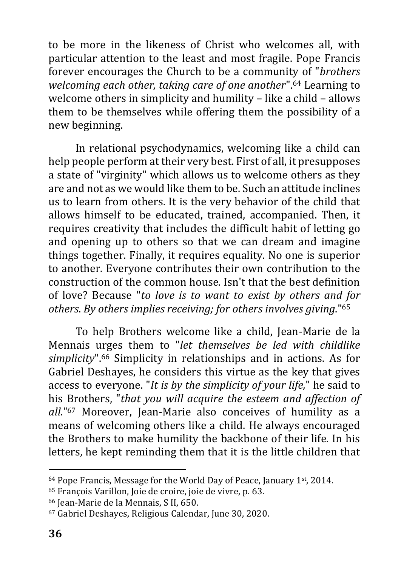to be more in the likeness of Christ who welcomes all, with particular attention to the least and most fragile. Pope Francis forever encourages the Church to be a community of "*brothers welcoming each other, taking care of one another*".<sup>64</sup> Learning to welcome others in simplicity and humility – like a child – allows them to be themselves while offering them the possibility of a new beginning.

In relational psychodynamics, welcoming like a child can help people perform at their very best. First of all, it presupposes a state of "virginity" which allows us to welcome others as they are and not as we would like them to be. Such an attitude inclines us to learn from others. It is the very behavior of the child that allows himself to be educated, trained, accompanied. Then, it requires creativity that includes the difficult habit of letting go and opening up to others so that we can dream and imagine things together. Finally, it requires equality. No one is superior to another. Everyone contributes their own contribution to the construction of the common house. Isn't that the best definition of love? Because "*to love is to want to exist by others and for others*. *By others implies receiving; for others involves giving*." 65

To help Brothers welcome like a child, Jean-Marie de la Mennais urges them to "*let themselves be led with childlike simplicity*".<sup>66</sup> Simplicity in relationships and in actions. As for Gabriel Deshayes, he considers this virtue as the key that gives access to everyone. "*It is by the simplicity of your life,*" he said to his Brothers, "*that you will acquire the esteem and affection of all.*" <sup>67</sup> Moreover, Jean-Marie also conceives of humility as a means of welcoming others like a child. He always encouraged the Brothers to make humility the backbone of their life. In his letters, he kept reminding them that it is the little children that

 $64$  Pope Francis, Message for the World Day of Peace, January 1st, 2014.

<sup>65</sup> François Varillon, Joie de croire, joie de vivre, p. 63.

<sup>66</sup> Jean-Marie de la Mennais, S II, 650.

<sup>67</sup> Gabriel Deshayes, Religious Calendar, June 30, 2020.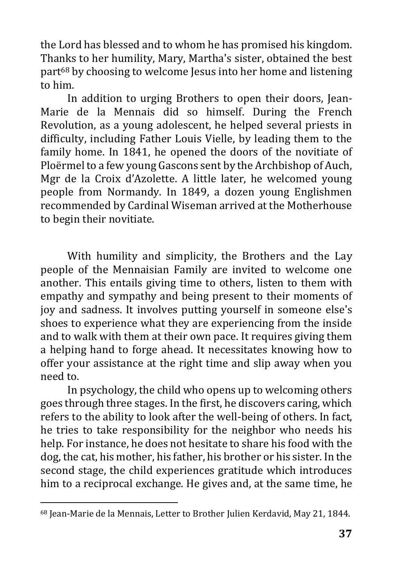the Lord has blessed and to whom he has promised his kingdom. Thanks to her humility, Mary, Martha's sister, obtained the best part<sup>68</sup> by choosing to welcome Jesus into her home and listening to him.

In addition to urging Brothers to open their doors, Jean-Marie de la Mennais did so himself. During the French Revolution, as a young adolescent, he helped several priests in difficulty, including Father Louis Vielle, by leading them to the family home. In 1841, he opened the doors of the novitiate of Ploërmel to a few young Gascons sent by the Archbishop of Auch, Mgr de la Croix d'Azolette. A little later, he welcomed young people from Normandy. In 1849, a dozen young Englishmen recommended by Cardinal Wiseman arrived at the Motherhouse to begin their novitiate.

With humility and simplicity, the Brothers and the Lay people of the Mennaisian Family are invited to welcome one another. This entails giving time to others, listen to them with empathy and sympathy and being present to their moments of joy and sadness. It involves putting yourself in someone else's shoes to experience what they are experiencing from the inside and to walk with them at their own pace. It requires giving them a helping hand to forge ahead. It necessitates knowing how to offer your assistance at the right time and slip away when you need to.

In psychology, the child who opens up to welcoming others goes through three stages. In the first, he discovers caring, which refers to the ability to look after the well-being of others. In fact, he tries to take responsibility for the neighbor who needs his help. For instance, he does not hesitate to share his food with the dog, the cat, his mother, his father, his brother or his sister. In the second stage, the child experiences gratitude which introduces him to a reciprocal exchange. He gives and, at the same time, he

<sup>68</sup> Jean-Marie de la Mennais, Letter to Brother Julien Kerdavid, May 21, 1844.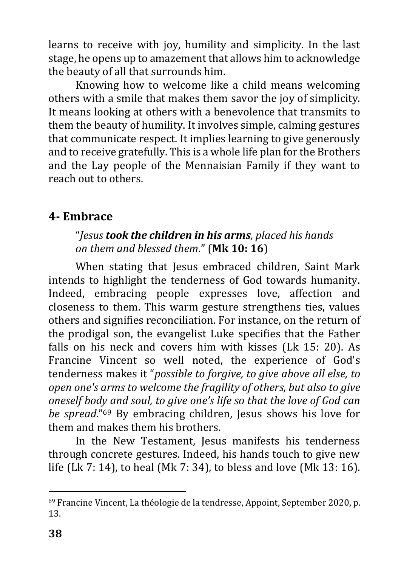learns to receive with joy, humility and simplicity. In the last stage, he opens up to amazement that allows him to acknowledge the beauty of all that surrounds him.

Knowing how to welcome like a child means welcoming others with a smile that makes them savor the joy of simplicity. It means looking at others with a benevolence that transmits to them the beauty of humility. It involves simple, calming gestures that communicate respect. It implies learning to give generously and to receive gratefully. This is a whole life plan for the Brothers and the Lay people of the Mennaisian Family if they want to reach out to others.

#### <span id="page-37-0"></span>**4- Embrace**

#### "*Jesus took the children in his arms, placed his hands on them and blessed them*." (**Mk 10: 16**)

When stating that Jesus embraced children, Saint Mark intends to highlight the tenderness of God towards humanity. Indeed, embracing people expresses love, affection and closeness to them. This warm gesture strengthens ties, values others and signifies reconciliation. For instance, on the return of the prodigal son, the evangelist Luke specifies that the Father falls on his neck and covers him with kisses (Lk 15: 20). As Francine Vincent so well noted, the experience of God's tenderness makes it "*possible to forgive, to give above all else, to open one's arms to welcome the fragility of others, but also to give oneself body and soul, to give one's life so that the love of God can be spread*." <sup>69</sup> By embracing children, Jesus shows his love for them and makes them his brothers.

In the New Testament, Jesus manifests his tenderness through concrete gestures. Indeed, his hands touch to give new life (Lk 7: 14), to heal (Mk 7: 34), to bless and love (Mk 13: 16).

<sup>69</sup> Francine Vincent, La théologie de la tendresse, Appoint, September 2020, p. 13.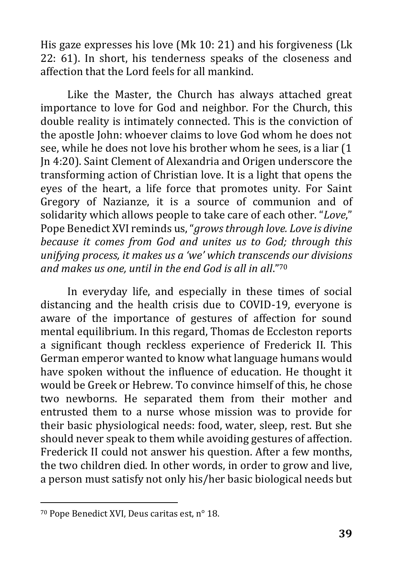His gaze expresses his love (Mk 10: 21) and his forgiveness (Lk 22: 61). In short, his tenderness speaks of the closeness and affection that the Lord feels for all mankind.

Like the Master, the Church has always attached great importance to love for God and neighbor. For the Church, this double reality is intimately connected. This is the conviction of the apostle John: whoever claims to love God whom he does not see, while he does not love his brother whom he sees, is a liar (1 Jn 4:20). Saint Clement of Alexandria and Origen underscore the transforming action of Christian love. It is a light that opens the eyes of the heart, a life force that promotes unity. For Saint Gregory of Nazianze, it is a source of communion and of solidarity which allows people to take care of each other. "*Love*," Pope Benedict XVI reminds us, "*grows through love. Love is divine because it comes from God and unites us to God; through this unifying process, it makes us a 'we' which transcends our divisions and makes us one, until in the end God is all in all*."<sup>70</sup>

In everyday life, and especially in these times of social distancing and the health crisis due to COVID-19, everyone is aware of the importance of gestures of affection for sound mental equilibrium. In this regard, Thomas de Eccleston reports a significant though reckless experience of Frederick II. This German emperor wanted to know what language humans would have spoken without the influence of education. He thought it would be Greek or Hebrew. To convince himself of this, he chose two newborns. He separated them from their mother and entrusted them to a nurse whose mission was to provide for their basic physiological needs: food, water, sleep, rest. But she should never speak to them while avoiding gestures of affection. Frederick II could not answer his question. After a few months, the two children died. In other words, in order to grow and live, a person must satisfy not only his/her basic biological needs but

<sup>70</sup> Pope Benedict XVI, Deus caritas est, n° 18.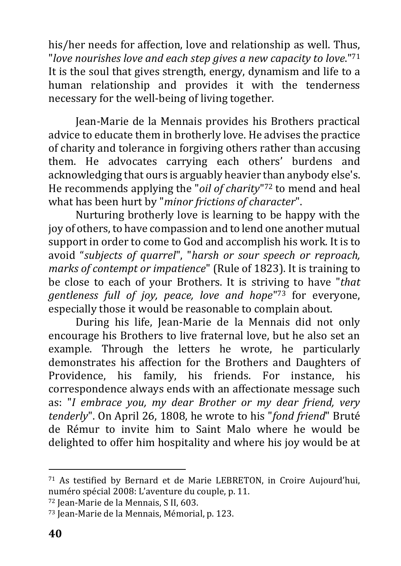his/her needs for affection, love and relationship as well. Thus, "*love nourishes love and each step gives a new capacity to love*."<sup>71</sup> It is the soul that gives strength, energy, dynamism and life to a human relationship and provides it with the tenderness necessary for the well-being of living together.

Jean-Marie de la Mennais provides his Brothers practical advice to educate them in brotherly love. He advises the practice of charity and tolerance in forgiving others rather than accusing them. He advocates carrying each others' burdens and acknowledging that ours is arguably heavier than anybody else's. He recommends applying the "*oil of charity*" <sup>72</sup> to mend and heal what has been hurt by "*minor frictions of character*".

Nurturing brotherly love is learning to be happy with the joy of others, to have compassion and to lend one another mutual support in order to come to God and accomplish his work. It is to avoid "*subjects of quarrel*", "*harsh or sour speech or reproach, marks of contempt or impatience*" (Rule of 1823). It is training to be close to each of your Brothers. It is striving to have "*that gentleness full of joy, peace, love and hope*" <sup>73</sup> for everyone, especially those it would be reasonable to complain about.

During his life, Jean-Marie de la Mennais did not only encourage his Brothers to live fraternal love, but he also set an example. Through the letters he wrote, he particularly demonstrates his affection for the Brothers and Daughters of Providence, his family, his friends. For instance, his correspondence always ends with an affectionate message such as: "*I embrace you, my dear Brother or my dear friend, very tenderly*". On April 26, 1808, he wrote to his "*fond friend*" Bruté de Rémur to invite him to Saint Malo where he would be delighted to offer him hospitality and where his joy would be at

<sup>71</sup> As testified by Bernard et de Marie LEBRETON, in Croire Aujourd'hui, numéro spécial 2008: L'aventure du couple, p. 11.

<sup>72</sup> Jean-Marie de la Mennais, S II, 603.

<sup>73</sup> Jean-Marie de la Mennais, Mémorial, p. 123.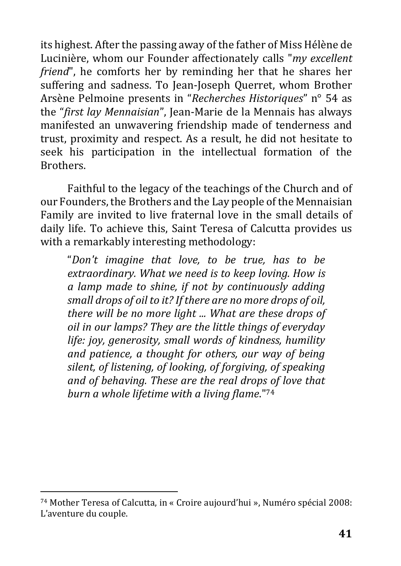its highest. After the passing away of the father of Miss Hélène de Lucinière, whom our Founder affectionately calls "*my excellent friend*", he comforts her by reminding her that he shares her suffering and sadness. To Jean-Joseph Querret, whom Brother Arsène Pelmoine presents in "*Recherches Historiques*" n° 54 as the "*first lay Mennaisian*", Jean-Marie de la Mennais has always manifested an unwavering friendship made of tenderness and trust, proximity and respect. As a result, he did not hesitate to seek his participation in the intellectual formation of the Brothers.

Faithful to the legacy of the teachings of the Church and of our Founders, the Brothers and the Lay people of the Mennaisian Family are invited to live fraternal love in the small details of daily life. To achieve this, Saint Teresa of Calcutta provides us with a remarkably interesting methodology:

"*Don't imagine that love, to be true, has to be extraordinary. What we need is to keep loving. How is a lamp made to shine, if not by continuously adding small drops of oil to it? If there are no more drops of oil, there will be no more light ... What are these drops of oil in our lamps? They are the little things of everyday life: joy, generosity, small words of kindness, humility and patience, a thought for others, our way of being silent, of listening, of looking, of forgiving, of speaking and of behaving. These are the real drops of love that burn a whole lifetime with a living flame*."<sup>74</sup>

<span id="page-40-0"></span><sup>74</sup> Mother Teresa of Calcutta, in « Croire aujourd'hui », Numéro spécial 2008: L'aventure du couple.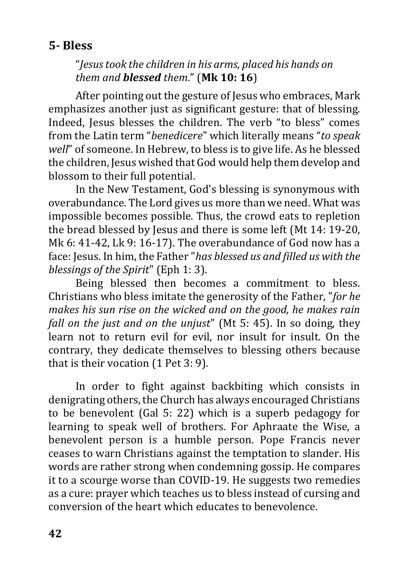#### **5- Bless**

#### "*Jesus took the children in his arms, placed his hands on them and blessed them*." (**Mk 10: 16**)

After pointing out the gesture of Jesus who embraces, Mark emphasizes another just as significant gesture: that of blessing. Indeed, Jesus blesses the children. The verb "to bless" comes from the Latin term "*benedicere*" which literally means "*to speak well*" of someone. In Hebrew, to bless is to give life. As he blessed the children, Jesus wished that God would help them develop and blossom to their full potential.

In the New Testament, God's blessing is synonymous with overabundance. The Lord gives us more than we need. What was impossible becomes possible. Thus, the crowd eats to repletion the bread blessed by Jesus and there is some left (Mt 14: 19-20, Mk 6: 41-42, Lk 9: 16-17). The overabundance of God now has a face: Jesus. In him, the Father "*has blessed us and filled us with the blessings of the Spirit*" (Eph 1: 3).

Being blessed then becomes a commitment to bless. Christians who bless imitate the generosity of the Father, "*for he makes his sun rise on the wicked and on the good, he makes rain fall on the just and on the unjust*" (Mt 5: 45). In so doing, they learn not to return evil for evil, nor insult for insult. On the contrary, they dedicate themselves to blessing others because that is their vocation (1 Pet 3: 9).

In order to fight against backbiting which consists in denigrating others, the Church has always encouraged Christians to be benevolent (Gal 5: 22) which is a superb pedagogy for learning to speak well of brothers. For Aphraate the Wise, a benevolent person is a humble person. Pope Francis never ceases to warn Christians against the temptation to slander. His words are rather strong when condemning gossip. He compares it to a scourge worse than COVID-19. He suggests two remedies as a cure: prayer which teaches us to bless instead of cursing and conversion of the heart which educates to benevolence.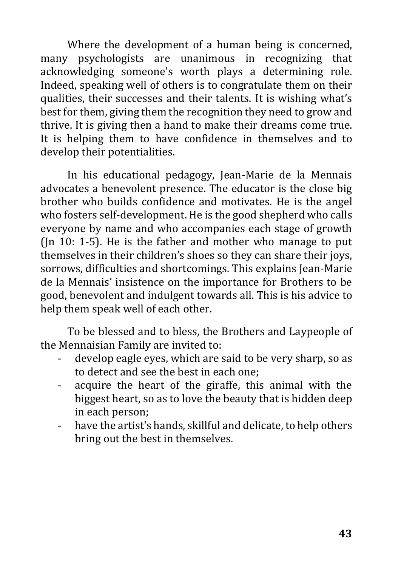Where the development of a human being is concerned, many psychologists are unanimous in recognizing that acknowledging someone's worth plays a determining role. Indeed, speaking well of others is to congratulate them on their qualities, their successes and their talents. It is wishing what's best for them, giving them the recognition they need to grow and thrive. It is giving then a hand to make their dreams come true. It is helping them to have confidence in themselves and to develop their potentialities.

In his educational pedagogy, Jean-Marie de la Mennais advocates a benevolent presence. The educator is the close big brother who builds confidence and motivates. He is the angel who fosters self-development. He is the good shepherd who calls everyone by name and who accompanies each stage of growth (Jn 10: 1-5). He is the father and mother who manage to put themselves in their children's shoes so they can share their joys, sorrows, difficulties and shortcomings. This explains Jean-Marie de la Mennais' insistence on the importance for Brothers to be good, benevolent and indulgent towards all. This is his advice to help them speak well of each other.

To be blessed and to bless, the Brothers and Laypeople of the Mennaisian Family are invited to:

- develop eagle eyes, which are said to be very sharp, so as to detect and see the best in each one;
- acquire the heart of the giraffe, this animal with the biggest heart, so as to love the beauty that is hidden deep in each person;
- <span id="page-42-0"></span>- have the artist's hands, skillful and delicate, to help others bring out the best in themselves.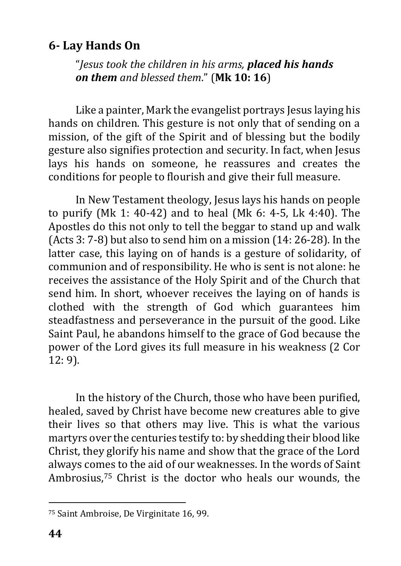#### **6- Lay Hands On**

"*Jesus took the children in his arms, placed his hands on them and blessed them*." (**Mk 10: 16**)

Like a painter, Mark the evangelist portrays Jesus laying his hands on children. This gesture is not only that of sending on a mission, of the gift of the Spirit and of blessing but the bodily gesture also signifies protection and security. In fact, when Jesus lays his hands on someone, he reassures and creates the conditions for people to flourish and give their full measure.

In New Testament theology, Jesus lays his hands on people to purify (Mk 1: 40-42) and to heal (Mk 6: 4-5, Lk 4:40). The Apostles do this not only to tell the beggar to stand up and walk (Acts 3: 7-8) but also to send him on a mission (14: 26-28). In the latter case, this laying on of hands is a gesture of solidarity, of communion and of responsibility. He who is sent is not alone: he receives the assistance of the Holy Spirit and of the Church that send him. In short, whoever receives the laying on of hands is clothed with the strength of God which guarantees him steadfastness and perseverance in the pursuit of the good. Like Saint Paul, he abandons himself to the grace of God because the power of the Lord gives its full measure in his weakness (2 Cor 12: 9).

In the history of the Church, those who have been purified, healed, saved by Christ have become new creatures able to give their lives so that others may live. This is what the various martyrs over the centuries testify to: by shedding their blood like Christ, they glorify his name and show that the grace of the Lord always comes to the aid of our weaknesses. In the words of Saint Ambrosius, <sup>75</sup> Christ is the doctor who heals our wounds, the

<sup>75</sup> Saint Ambroise, De Virginitate 16, 99.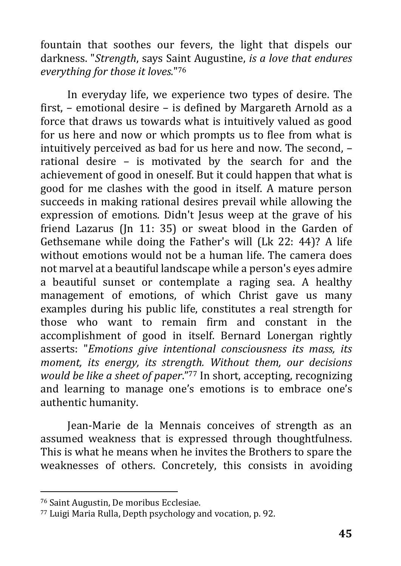fountain that soothes our fevers, the light that dispels our darkness. "*Strength*, says Saint Augustine, *is a love that endures everything for those it loves.*" 76

In everyday life, we experience two types of desire. The first, – emotional desire – is defined by Margareth Arnold as a force that draws us towards what is intuitively valued as good for us here and now or which prompts us to flee from what is intuitively perceived as bad for us here and now. The second, – rational desire – is motivated by the search for and the achievement of good in oneself. But it could happen that what is good for me clashes with the good in itself. A mature person succeeds in making rational desires prevail while allowing the expression of emotions. Didn't Jesus weep at the grave of his friend Lazarus (Jn 11: 35) or sweat blood in the Garden of Gethsemane while doing the Father's will (Lk 22: 44)? A life without emotions would not be a human life. The camera does not marvel at a beautiful landscape while a person's eyes admire a beautiful sunset or contemplate a raging sea. A healthy management of emotions, of which Christ gave us many examples during his public life, constitutes a real strength for those who want to remain firm and constant in the accomplishment of good in itself. Bernard Lonergan rightly asserts: "*Emotions give intentional consciousness its mass, its moment, its energy, its strength. Without them, our decisions would be like a sheet of paper*." <sup>77</sup> In short, accepting, recognizing and learning to manage one's emotions is to embrace one's authentic humanity.

Jean-Marie de la Mennais conceives of strength as an assumed weakness that is expressed through thoughtfulness. This is what he means when he invites the Brothers to spare the weaknesses of others. Concretely, this consists in avoiding

<sup>76</sup> Saint Augustin, De moribus Ecclesiae.

<sup>77</sup> Luigi Maria Rulla, Depth psychology and vocation, p. 92.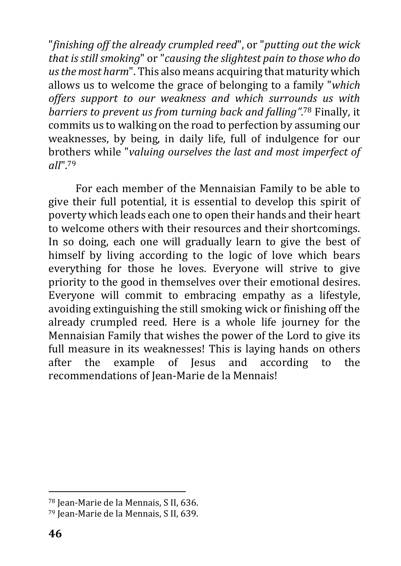"*finishing off the already crumpled reed*", or "*putting out the wick that is still smoking*" or "*causing the slightest pain to those who do us the most harm*". This also means acquiring that maturity which allows us to welcome the grace of belonging to a family "*which offers support to our weakness and which surrounds us with barriers to prevent us from turning back and falling".* <sup>78</sup> Finally, it commits us to walking on the road to perfection by assuming our weaknesses, by being, in daily life, full of indulgence for our brothers while "*valuing ourselves the last and most imperfect of all*".<sup>79</sup>

For each member of the Mennaisian Family to be able to give their full potential, it is essential to develop this spirit of poverty which leads each one to open their hands and their heart to welcome others with their resources and their shortcomings. In so doing, each one will gradually learn to give the best of himself by living according to the logic of love which bears everything for those he loves. Everyone will strive to give priority to the good in themselves over their emotional desires. Everyone will commit to embracing empathy as a lifestyle, avoiding extinguishing the still smoking wick or finishing off the already crumpled reed. Here is a whole life journey for the Mennaisian Family that wishes the power of the Lord to give its full measure in its weaknesses! This is laying hands on others after the example of Jesus and according to the recommendations of Jean-Marie de la Mennais!

<sup>78</sup> Jean-Marie de la Mennais, S II, 636.

<sup>79</sup> Jean-Marie de la Mennais, S II, 639.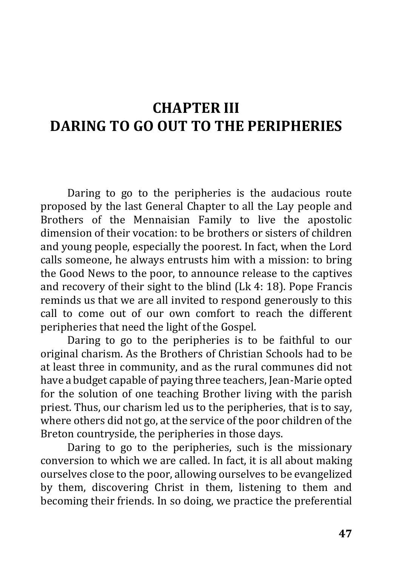# <span id="page-46-0"></span>**CHAPTER III DARING TO GO OUT TO THE PERIPHERIES**

Daring to go to the peripheries is the audacious route proposed by the last General Chapter to all the Lay people and Brothers of the Mennaisian Family to live the apostolic dimension of their vocation: to be brothers or sisters of children and young people, especially the poorest. In fact, when the Lord calls someone, he always entrusts him with a mission: to bring the Good News to the poor, to announce release to the captives and recovery of their sight to the blind (Lk 4: 18). Pope Francis reminds us that we are all invited to respond generously to this call to come out of our own comfort to reach the different peripheries that need the light of the Gospel.

Daring to go to the peripheries is to be faithful to our original charism. As the Brothers of Christian Schools had to be at least three in community, and as the rural communes did not have a budget capable of paying three teachers, Jean-Marie opted for the solution of one teaching Brother living with the parish priest. Thus, our charism led us to the peripheries, that is to say, where others did not go, at the service of the poor children of the Breton countryside, the peripheries in those days.

Daring to go to the peripheries, such is the missionary conversion to which we are called. In fact, it is all about making ourselves close to the poor, allowing ourselves to be evangelized by them, discovering Christ in them, listening to them and becoming their friends. In so doing, we practice the preferential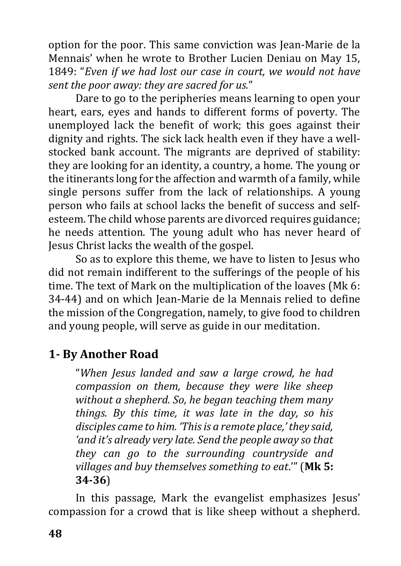option for the poor. This same conviction was Jean-Marie de la Mennais' when he wrote to Brother Lucien Deniau on May 15, 1849: "*Even if we had lost our case in court, we would not have sent the poor away: they are sacred for us.*"

Dare to go to the peripheries means learning to open your heart, ears, eyes and hands to different forms of poverty. The unemployed lack the benefit of work; this goes against their dignity and rights. The sick lack health even if they have a wellstocked bank account. The migrants are deprived of stability: they are looking for an identity, a country, a home. The young or the itinerants long for the affection and warmth of a family, while single persons suffer from the lack of relationships. A young person who fails at school lacks the benefit of success and selfesteem. The child whose parents are divorced requires guidance; he needs attention. The young adult who has never heard of Jesus Christ lacks the wealth of the gospel.

So as to explore this theme, we have to listen to Jesus who did not remain indifferent to the sufferings of the people of his time. The text of Mark on the multiplication of the loaves (Mk 6: 34-44) and on which Jean-Marie de la Mennais relied to define the mission of the Congregation, namely, to give food to children and young people, will serve as guide in our meditation.

## <span id="page-47-0"></span>**1- By Another Road**

"*When Jesus landed and saw a large crowd, he had compassion on them, because they were like sheep without a shepherd. So, he began teaching them many things. By this time, it was late in the day, so his disciples came to him. 'This is a remote place,' they said, 'and it's already very late. Send the people away so that they can go to the surrounding countryside and villages and buy themselves something to eat*.'" (**Mk 5: 34-36**)

In this passage, Mark the evangelist emphasizes Jesus' compassion for a crowd that is like sheep without a shepherd.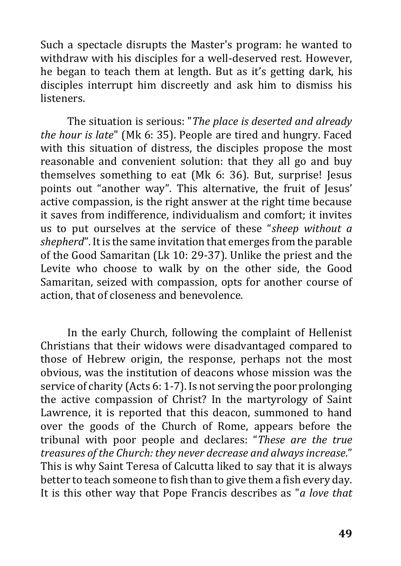Such a spectacle disrupts the Master's program: he wanted to withdraw with his disciples for a well-deserved rest. However, he began to teach them at length. But as it's getting dark, his disciples interrupt him discreetly and ask him to dismiss his listeners.

The situation is serious: "*The place is deserted and already the hour is late*" (Mk 6: 35). People are tired and hungry. Faced with this situation of distress, the disciples propose the most reasonable and convenient solution: that they all go and buy themselves something to eat (Mk 6: 36). But, surprise! Jesus points out "another way". This alternative, the fruit of Jesus' active compassion, is the right answer at the right time because it saves from indifference, individualism and comfort; it invites us to put ourselves at the service of these "*sheep without a shepherd*". It is the same invitation that emerges from the parable of the Good Samaritan (Lk 10: 29-37). Unlike the priest and the Levite who choose to walk by on the other side, the Good Samaritan, seized with compassion, opts for another course of action, that of closeness and benevolence.

In the early Church, following the complaint of Hellenist Christians that their widows were disadvantaged compared to those of Hebrew origin, the response, perhaps not the most obvious, was the institution of deacons whose mission was the service of charity (Acts 6: 1-7). Is not serving the poor prolonging the active compassion of Christ? In the martyrology of Saint Lawrence, it is reported that this deacon, summoned to hand over the goods of the Church of Rome, appears before the tribunal with poor people and declares: "*These are the true treasures of the Church: they never decrease and always increase.*" This is why Saint Teresa of Calcutta liked to say that it is always better to teach someone to fish than to give them a fish every day. It is this other way that Pope Francis describes as "*a love that*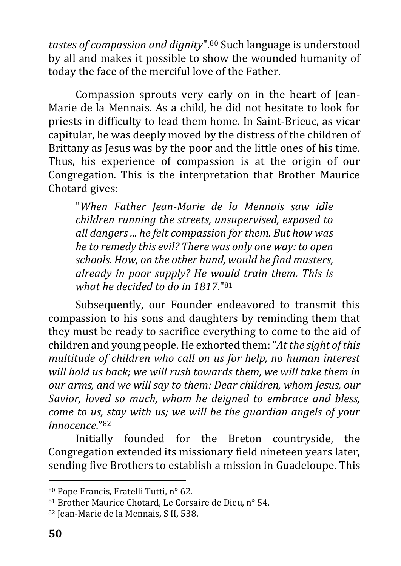*tastes of compassion and dignity*".<sup>80</sup> Such language is understood by all and makes it possible to show the wounded humanity of today the face of the merciful love of the Father.

Compassion sprouts very early on in the heart of Jean-Marie de la Mennais. As a child, he did not hesitate to look for priests in difficulty to lead them home. In Saint-Brieuc, as vicar capitular, he was deeply moved by the distress of the children of Brittany as Jesus was by the poor and the little ones of his time. Thus, his experience of compassion is at the origin of our Congregation. This is the interpretation that Brother Maurice Chotard gives:

"*When Father Jean-Marie de la Mennais saw idle children running the streets, unsupervised, exposed to all dangers ... he felt compassion for them. But how was he to remedy this evil? There was only one way: to open schools. How, on the other hand, would he find masters, already in poor supply? He would train them. This is what he decided to do in 1817*." 81

Subsequently, our Founder endeavored to transmit this compassion to his sons and daughters by reminding them that they must be ready to sacrifice everything to come to the aid of children and young people. He exhorted them: "*At the sight of this multitude of children who call on us for help, no human interest will hold us back; we will rush towards them, we will take them in our arms, and we will say to them: Dear children, whom Jesus, our Savior, loved so much, whom he deigned to embrace and bless, come to us, stay with us; we will be the guardian angels of your innocence*." 82

Initially founded for the Breton countryside, the Congregation extended its missionary field nineteen years later, sending five Brothers to establish a mission in Guadeloupe. This

<sup>80</sup> Pope Francis, Fratelli Tutti, n° 62.

<sup>81</sup> Brother Maurice Chotard, Le Corsaire de Dieu, n° 54.

<sup>82</sup> Jean-Marie de la Mennais, S II, 538.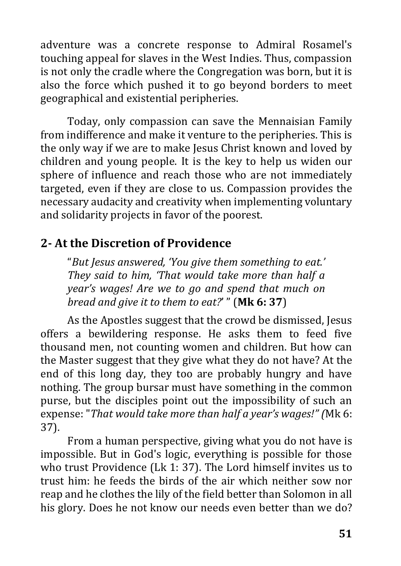adventure was a concrete response to Admiral Rosamel's touching appeal for slaves in the West Indies. Thus, compassion is not only the cradle where the Congregation was born, but it is also the force which pushed it to go beyond borders to meet geographical and existential peripheries.

Today, only compassion can save the Mennaisian Family from indifference and make it venture to the peripheries. This is the only way if we are to make Jesus Christ known and loved by children and young people. It is the key to help us widen our sphere of influence and reach those who are not immediately targeted, even if they are close to us. Compassion provides the necessary audacity and creativity when implementing voluntary and solidarity projects in favor of the poorest.

## <span id="page-50-0"></span>**2- At the Discretion of Providence**

"*But Jesus answered, 'You give them something to eat.' They said to him, 'That would take more than half a year's wages! Are we to go and spend that much on bread and give it to them to eat?*' " (**Mk 6: 37**)

As the Apostles suggest that the crowd be dismissed, Jesus offers a bewildering response. He asks them to feed five thousand men, not counting women and children. But how can the Master suggest that they give what they do not have? At the end of this long day, they too are probably hungry and have nothing. The group bursar must have something in the common purse, but the disciples point out the impossibility of such an expense: "*That would take more than half a year's wages!" (*Mk 6: 37).

From a human perspective, giving what you do not have is impossible. But in God's logic, everything is possible for those who trust Providence (Lk 1: 37). The Lord himself invites us to trust him: he feeds the birds of the air which neither sow nor reap and he clothes the lily of the field better than Solomon in all his glory. Does he not know our needs even better than we do?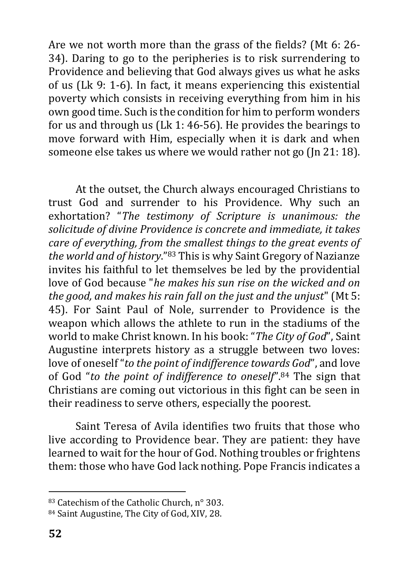Are we not worth more than the grass of the fields? (Mt 6: 26- 34). Daring to go to the peripheries is to risk surrendering to Providence and believing that God always gives us what he asks of us (Lk 9: 1-6). In fact, it means experiencing this existential poverty which consists in receiving everything from him in his own good time. Such is the condition for him to perform wonders for us and through us (Lk 1: 46-56). He provides the bearings to move forward with Him, especially when it is dark and when someone else takes us where we would rather not go (Jn 21: 18).

At the outset, the Church always encouraged Christians to trust God and surrender to his Providence. Why such an exhortation? "*The testimony of Scripture is unanimous: the solicitude of divine Providence is concrete and immediate, it takes care of everything, from the smallest things to the great events of the world and of history*."<sup>83</sup> This is why Saint Gregory of Nazianze invites his faithful to let themselves be led by the providential love of God because "*he makes his sun rise on the wicked and on the good, and makes his rain fall on the just and the unjust*" (Mt 5: 45). For Saint Paul of Nole, surrender to Providence is the weapon which allows the athlete to run in the stadiums of the world to make Christ known. In his book: "*The City of God*", Saint Augustine interprets history as a struggle between two loves: love of oneself "*to the point of indifference towards God*", and love of God "*to the point of indifference to oneself*".<sup>84</sup> The sign that Christians are coming out victorious in this fight can be seen in their readiness to serve others, especially the poorest.

Saint Teresa of Avila identifies two fruits that those who live according to Providence bear. They are patient: they have learned to wait for the hour of God. Nothing troubles or frightens them: those who have God lack nothing. Pope Francis indicates a

<sup>83</sup> Catechism of the Catholic Church, n° 303.

<sup>84</sup> Saint Augustine, The City of God, XIV, 28.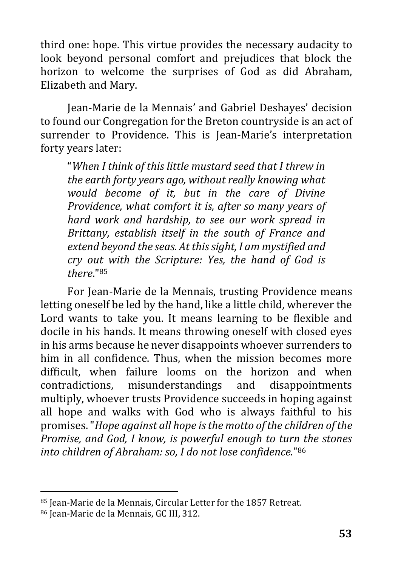third one: hope. This virtue provides the necessary audacity to look beyond personal comfort and prejudices that block the horizon to welcome the surprises of God as did Abraham, Elizabeth and Mary.

Jean-Marie de la Mennais' and Gabriel Deshayes' decision to found our Congregation for the Breton countryside is an act of surrender to Providence. This is Jean-Marie's interpretation forty years later:

"*When I think of this little mustard seed that I threw in the earth forty years ago, without really knowing what would become of it, but in the care of Divine Providence, what comfort it is, after so many years of hard work and hardship, to see our work spread in Brittany, establish itself in the south of France and extend beyond the seas. At this sight, I am mystified and cry out with the Scripture: Yes, the hand of God is there*."<sup>85</sup>

For Jean-Marie de la Mennais, trusting Providence means letting oneself be led by the hand, like a little child, wherever the Lord wants to take you. It means learning to be flexible and docile in his hands. It means throwing oneself with closed eyes in his arms because he never disappoints whoever surrenders to him in all confidence. Thus, when the mission becomes more difficult, when failure looms on the horizon and when contradictions, misunderstandings and disappointments multiply, whoever trusts Providence succeeds in hoping against all hope and walks with God who is always faithful to his promises. "*Hope against all hope is the motto of the children of the Promise, and God, I know, is powerful enough to turn the stones into children of Abraham: so, I do not lose confidence.*" 86

<sup>85</sup> Jean-Marie de la Mennais, Circular Letter for the 1857 Retreat.

<sup>86</sup> Jean-Marie de la Mennais, GC III, 312.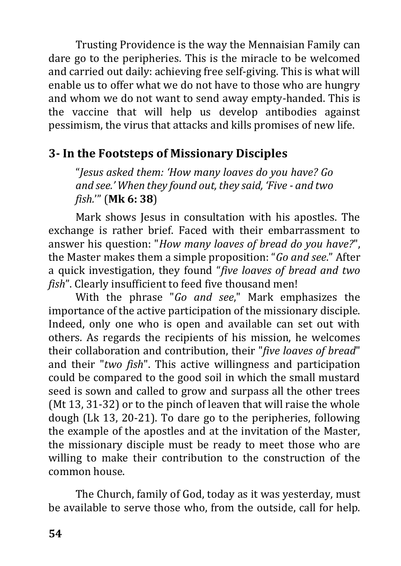Trusting Providence is the way the Mennaisian Family can dare go to the peripheries. This is the miracle to be welcomed and carried out daily: achieving free self-giving. This is what will enable us to offer what we do not have to those who are hungry and whom we do not want to send away empty-handed. This is the vaccine that will help us develop antibodies against pessimism, the virus that attacks and kills promises of new life.

#### <span id="page-53-0"></span>**3- In the Footsteps of Missionary Disciples**

"*Jesus asked them: 'How many loaves do you have? Go and see.' When they found out, they said, 'Five - and two fish.*'" (**Mk 6: 38**)

Mark shows Jesus in consultation with his apostles. The exchange is rather brief. Faced with their embarrassment to answer his question: "*How many loaves of bread do you have?*", the Master makes them a simple proposition: "*Go and see*." After a quick investigation, they found "*five loaves of bread and two fish*". Clearly insufficient to feed five thousand men!

With the phrase "*Go and see*," Mark emphasizes the importance of the active participation of the missionary disciple. Indeed, only one who is open and available can set out with others. As regards the recipients of his mission, he welcomes their collaboration and contribution, their "*five loaves of bread*" and their "*two fish*". This active willingness and participation could be compared to the good soil in which the small mustard seed is sown and called to grow and surpass all the other trees (Mt 13, 31-32) or to the pinch of leaven that will raise the whole dough (Lk 13, 20-21). To dare go to the peripheries, following the example of the apostles and at the invitation of the Master, the missionary disciple must be ready to meet those who are willing to make their contribution to the construction of the common house.

The Church, family of God, today as it was yesterday, must be available to serve those who, from the outside, call for help.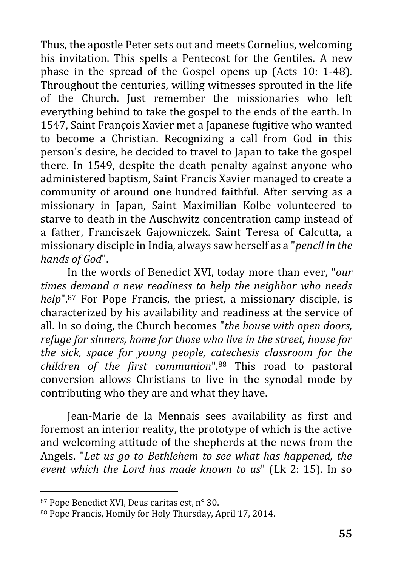Thus, the apostle Peter sets out and meets Cornelius, welcoming his invitation. This spells a Pentecost for the Gentiles. A new phase in the spread of the Gospel opens up (Acts 10: 1-48). Throughout the centuries, willing witnesses sprouted in the life of the Church. Just remember the missionaries who left everything behind to take the gospel to the ends of the earth. In 1547, Saint François Xavier met a Japanese fugitive who wanted to become a Christian. Recognizing a call from God in this person's desire, he decided to travel to Japan to take the gospel there. In 1549, despite the death penalty against anyone who administered baptism, Saint Francis Xavier managed to create a community of around one hundred faithful. After serving as a missionary in Japan, Saint Maximilian Kolbe volunteered to starve to death in the Auschwitz concentration camp instead of a father, Franciszek Gajowniczek. Saint Teresa of Calcutta, a missionary disciple in India, always saw herself as a "*pencil in the hands of God*".

In the words of Benedict XVI, today more than ever, "*our times demand a new readiness to help the neighbor who needs help*".<sup>87</sup> For Pope Francis, the priest, a missionary disciple, is characterized by his availability and readiness at the service of all. In so doing, the Church becomes "*the house with open doors, refuge for sinners, home for those who live in the street, house for the sick, space for young people, catechesis classroom for the children of the first communion*".<sup>88</sup> This road to pastoral conversion allows Christians to live in the synodal mode by contributing who they are and what they have.

Jean-Marie de la Mennais sees availability as first and foremost an interior reality, the prototype of which is the active and welcoming attitude of the shepherds at the news from the Angels. "*Let us go to Bethlehem to see what has happened, the event which the Lord has made known to us*" (Lk 2: 15). In so

<sup>87</sup> Pope Benedict XVI, Deus caritas est, n° 30.

<sup>88</sup> Pope Francis, Homily for Holy Thursday, April 17, 2014.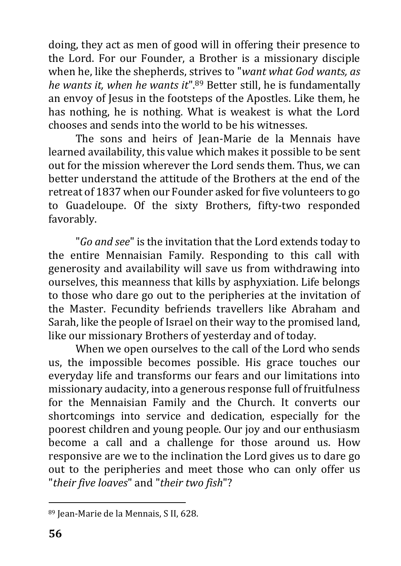doing, they act as men of good will in offering their presence to the Lord. For our Founder, a Brother is a missionary disciple when he, like the shepherds, strives to "*want what God wants, as he wants it, when he wants it*". <sup>89</sup> Better still, he is fundamentally an envoy of Jesus in the footsteps of the Apostles. Like them, he has nothing, he is nothing. What is weakest is what the Lord chooses and sends into the world to be his witnesses.

The sons and heirs of Jean-Marie de la Mennais have learned availability, this value which makes it possible to be sent out for the mission wherever the Lord sends them. Thus, we can better understand the attitude of the Brothers at the end of the retreat of 1837 when our Founder asked for five volunteers to go to Guadeloupe. Of the sixty Brothers, fifty-two responded favorably.

"*Go and see*" is the invitation that the Lord extends today to the entire Mennaisian Family. Responding to this call with generosity and availability will save us from withdrawing into ourselves, this meanness that kills by asphyxiation. Life belongs to those who dare go out to the peripheries at the invitation of the Master. Fecundity befriends travellers like Abraham and Sarah, like the people of Israel on their way to the promised land, like our missionary Brothers of yesterday and of today.

When we open ourselves to the call of the Lord who sends us, the impossible becomes possible. His grace touches our everyday life and transforms our fears and our limitations into missionary audacity, into a generous response full of fruitfulness for the Mennaisian Family and the Church. It converts our shortcomings into service and dedication, especially for the poorest children and young people. Our joy and our enthusiasm become a call and a challenge for those around us. How responsive are we to the inclination the Lord gives us to dare go out to the peripheries and meet those who can only offer us "*their five loaves*" and "*their two fish*"?

<sup>89</sup> Jean-Marie de la Mennais, S II, 628.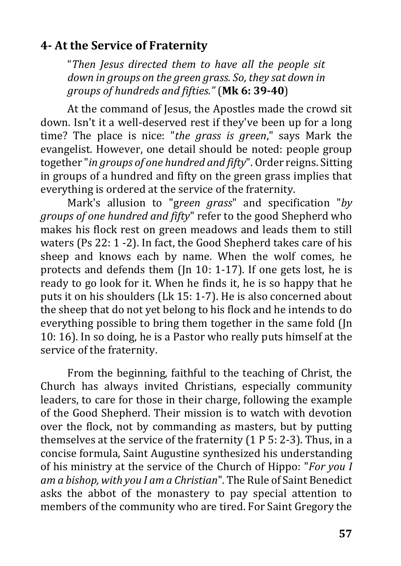#### <span id="page-56-0"></span>**4- At the Service of Fraternity**

"*Then Jesus directed them to have all the people sit down in groups on the green grass. So, they sat down in groups of hundreds and fifties."* (**Mk 6: 39-40**)

At the command of Jesus, the Apostles made the crowd sit down. Isn't it a well-deserved rest if they've been up for a long time? The place is nice: "*the grass is green*," says Mark the evangelist. However, one detail should be noted: people group together "*in groups of one hundred and fifty*". Order reigns. Sitting in groups of a hundred and fifty on the green grass implies that everything is ordered at the service of the fraternity.

Mark's allusion to "g*reen grass*" and specification "*by groups of one hundred and fifty*" refer to the good Shepherd who makes his flock rest on green meadows and leads them to still waters (Ps 22: 1 -2). In fact, the Good Shepherd takes care of his sheep and knows each by name. When the wolf comes, he protects and defends them (Jn 10: 1-17). If one gets lost, he is ready to go look for it. When he finds it, he is so happy that he puts it on his shoulders (Lk 15: 1-7). He is also concerned about the sheep that do not yet belong to his flock and he intends to do everything possible to bring them together in the same fold (Jn 10: 16). In so doing, he is a Pastor who really puts himself at the service of the fraternity.

From the beginning, faithful to the teaching of Christ, the Church has always invited Christians, especially community leaders, to care for those in their charge, following the example of the Good Shepherd. Their mission is to watch with devotion over the flock, not by commanding as masters, but by putting themselves at the service of the fraternity (1 P 5: 2-3). Thus, in a concise formula, Saint Augustine synthesized his understanding of his ministry at the service of the Church of Hippo: "*For you I am a bishop, with you I am a Christian*". The Rule of Saint Benedict asks the abbot of the monastery to pay special attention to members of the community who are tired. For Saint Gregory the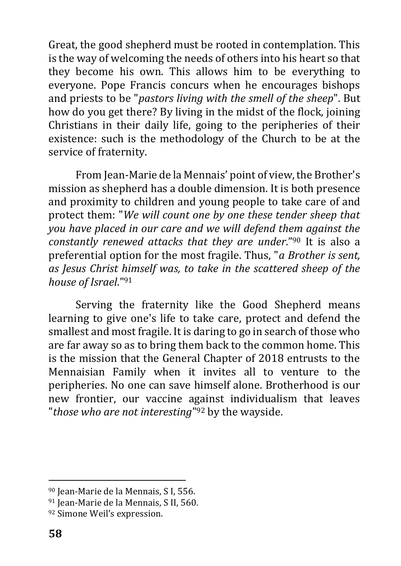Great, the good shepherd must be rooted in contemplation. This is the way of welcoming the needs of others into his heart so that they become his own. This allows him to be everything to everyone. Pope Francis concurs when he encourages bishops and priests to be "*pastors living with the smell of the sheep*". But how do you get there? By living in the midst of the flock, joining Christians in their daily life, going to the peripheries of their existence: such is the methodology of the Church to be at the service of fraternity.

From Jean-Marie de la Mennais' point of view, the Brother's mission as shepherd has a double dimension. It is both presence and proximity to children and young people to take care of and protect them: "*We will count one by one these tender sheep that you have placed in our care and we will defend them against the constantly renewed attacks that they are under*."<sup>90</sup> It is also a preferential option for the most fragile. Thus, "*a Brother is sent, as Jesus Christ himself was, to take in the scattered sheep of the house of Israel*."<sup>91</sup>

Serving the fraternity like the Good Shepherd means learning to give one's life to take care, protect and defend the smallest and most fragile. It is daring to go in search of those who are far away so as to bring them back to the common home. This is the mission that the General Chapter of 2018 entrusts to the Mennaisian Family when it invites all to venture to the peripheries. No one can save himself alone. Brotherhood is our new frontier, our vaccine against individualism that leaves "*those who are not interesting*" <sup>92</sup> by the wayside.

<sup>90</sup> Jean-Marie de la Mennais, S I, 556.

<sup>91</sup> Jean-Marie de la Mennais, S II, 560.

<sup>92</sup> Simone Weil's expression.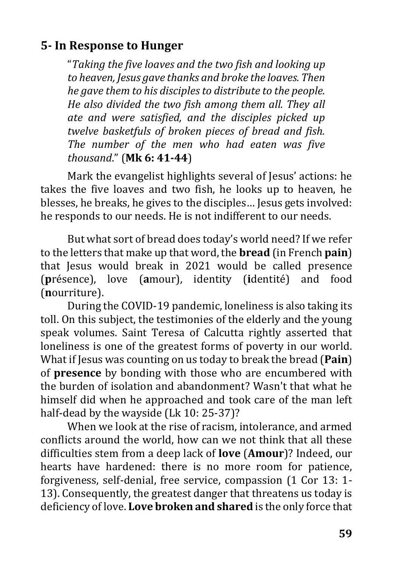#### <span id="page-58-0"></span>**5- In Response to Hunger**

"*Taking the five loaves and the two fish and looking up to heaven, Jesus gave thanks and broke the loaves. Then he gave them to his disciples to distribute to the people. He also divided the two fish among them all. They all ate and were satisfied, and the disciples picked up twelve basketfuls of broken pieces of bread and fish. The number of the men who had eaten was five thousand*." (**Mk 6: 41-44**)

Mark the evangelist highlights several of Jesus' actions: he takes the five loaves and two fish, he looks up to heaven, he blesses, he breaks, he gives to the disciples… Jesus gets involved: he responds to our needs. He is not indifferent to our needs.

But what sort of bread does today's world need? If we refer to the letters that make up that word, the **bread** (in French **pain**) that Jesus would break in 2021 would be called presence (**p**résence), love (**a**mour), identity (**i**dentité) and food (**n**ourriture).

During the COVID-19 pandemic, loneliness is also taking its toll. On this subject, the testimonies of the elderly and the young speak volumes. Saint Teresa of Calcutta rightly asserted that loneliness is one of the greatest forms of poverty in our world. What if Jesus was counting on us today to break the bread (**Pain**) of **presence** by bonding with those who are encumbered with the burden of isolation and abandonment? Wasn't that what he himself did when he approached and took care of the man left half-dead by the wayside (Lk 10: 25-37)?

When we look at the rise of racism, intolerance, and armed conflicts around the world, how can we not think that all these difficulties stem from a deep lack of **love** (**Amour**)? Indeed, our hearts have hardened: there is no more room for patience, forgiveness, self-denial, free service, compassion (1 Cor 13: 1- 13). Consequently, the greatest danger that threatens us today is deficiency of love. **Love broken and shared** is the only force that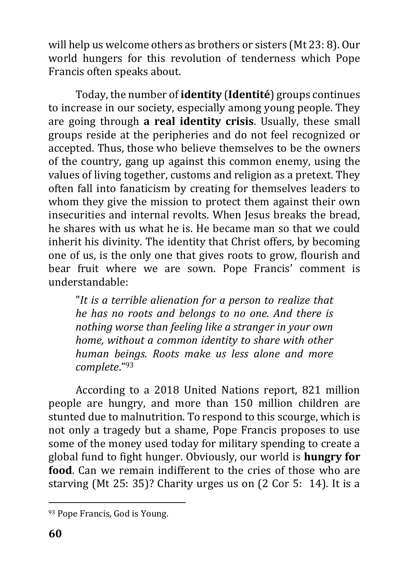will help us welcome others as brothers or sisters (Mt 23: 8). Our world hungers for this revolution of tenderness which Pope Francis often speaks about.

Today, the number of **identity** (**Identité**) groups continues to increase in our society, especially among young people. They are going through **a real identity crisis**. Usually, these small groups reside at the peripheries and do not feel recognized or accepted. Thus, those who believe themselves to be the owners of the country, gang up against this common enemy, using the values of living together, customs and religion as a pretext. They often fall into fanaticism by creating for themselves leaders to whom they give the mission to protect them against their own insecurities and internal revolts. When Jesus breaks the bread, he shares with us what he is. He became man so that we could inherit his divinity. The identity that Christ offers, by becoming one of us, is the only one that gives roots to grow, flourish and bear fruit where we are sown. Pope Francis' comment is understandable:

"*It is a terrible alienation for a person to realize that he has no roots and belongs to no one. And there is nothing worse than feeling like a stranger in your own home, without a common identity to share with other human beings. Roots make us less alone and more complete*." 93

According to a 2018 United Nations report, 821 million people are hungry, and more than 150 million children are stunted due to malnutrition. To respond to this scourge, which is not only a tragedy but a shame, Pope Francis proposes to use some of the money used today for military spending to create a global fund to fight hunger. Obviously, our world is **hungry for food**. Can we remain indifferent to the cries of those who are starving (Mt 25: 35)? Charity urges us on (2 Cor 5: 14). It is a

<sup>93</sup> Pope Francis, God is Young.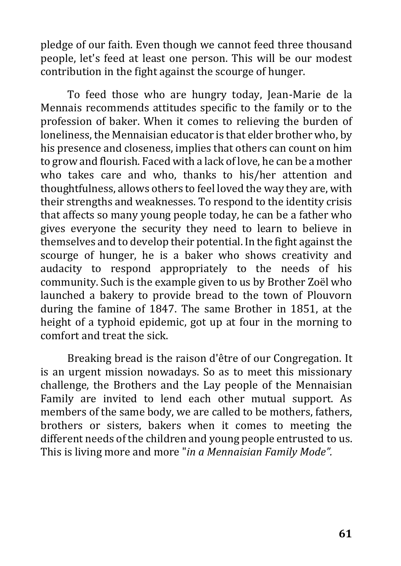pledge of our faith. Even though we cannot feed three thousand people, let's feed at least one person. This will be our modest contribution in the fight against the scourge of hunger.

To feed those who are hungry today, Jean-Marie de la Mennais recommends attitudes specific to the family or to the profession of baker. When it comes to relieving the burden of loneliness, the Mennaisian educator is that elder brother who, by his presence and closeness, implies that others can count on him to grow and flourish. Faced with a lack of love, he can be a mother who takes care and who, thanks to his/her attention and thoughtfulness, allows others to feel loved the way they are, with their strengths and weaknesses. To respond to the identity crisis that affects so many young people today, he can be a father who gives everyone the security they need to learn to believe in themselves and to develop their potential. In the fight against the scourge of hunger, he is a baker who shows creativity and audacity to respond appropriately to the needs of his community. Such is the example given to us by Brother Zoël who launched a bakery to provide bread to the town of Plouvorn during the famine of 1847. The same Brother in 1851, at the height of a typhoid epidemic, got up at four in the morning to comfort and treat the sick.

Breaking bread is the raison d'être of our Congregation. It is an urgent mission nowadays. So as to meet this missionary challenge, the Brothers and the Lay people of the Mennaisian Family are invited to lend each other mutual support. As members of the same body, we are called to be mothers, fathers, brothers or sisters, bakers when it comes to meeting the different needs of the children and young people entrusted to us. This is living more and more "*in a Mennaisian Family Mode".*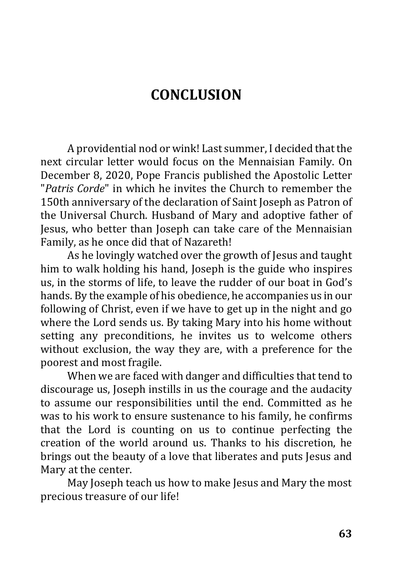# **CONCLUSION**

<span id="page-62-0"></span>A providential nod or wink! Last summer, I decided that the next circular letter would focus on the Mennaisian Family. On December 8, 2020, Pope Francis published the Apostolic Letter "*Patris Corde*" in which he invites the Church to remember the 150th anniversary of the declaration of Saint Joseph as Patron of the Universal Church. Husband of Mary and adoptive father of Jesus, who better than Joseph can take care of the Mennaisian Family, as he once did that of Nazareth!

As he lovingly watched over the growth of Jesus and taught him to walk holding his hand, Joseph is the guide who inspires us, in the storms of life, to leave the rudder of our boat in God's hands. By the example of his obedience, he accompanies us in our following of Christ, even if we have to get up in the night and go where the Lord sends us. By taking Mary into his home without setting any preconditions, he invites us to welcome others without exclusion, the way they are, with a preference for the poorest and most fragile.

When we are faced with danger and difficulties that tend to discourage us, Joseph instills in us the courage and the audacity to assume our responsibilities until the end. Committed as he was to his work to ensure sustenance to his family, he confirms that the Lord is counting on us to continue perfecting the creation of the world around us. Thanks to his discretion, he brings out the beauty of a love that liberates and puts Jesus and Mary at the center.

May Joseph teach us how to make Jesus and Mary the most precious treasure of our life!